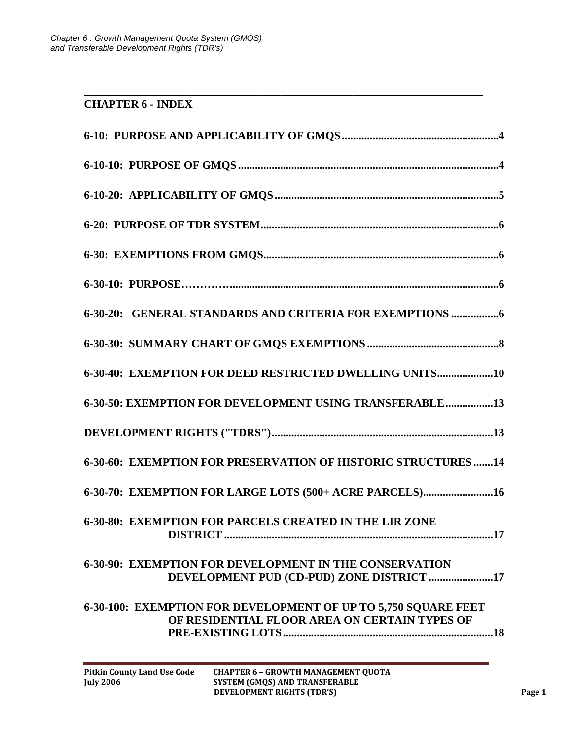#### **\_\_\_\_\_\_\_\_\_\_\_\_\_\_\_\_\_\_\_\_\_\_\_\_\_\_\_\_\_\_\_\_\_\_\_\_\_\_\_\_\_\_\_\_\_\_\_\_\_\_\_\_\_\_\_\_\_\_\_\_\_ CHAPTER 6 - INDEX**

| 6-30-20: GENERAL STANDARDS AND CRITERIA FOR EXEMPTIONS 6                                                        |
|-----------------------------------------------------------------------------------------------------------------|
|                                                                                                                 |
| 6-30-40: EXEMPTION FOR DEED RESTRICTED DWELLING UNITS10                                                         |
| 6-30-50: EXEMPTION FOR DEVELOPMENT USING TRANSFERABLE13                                                         |
|                                                                                                                 |
| 6-30-60: EXEMPTION FOR PRESERVATION OF HISTORIC STRUCTURES 14                                                   |
| 6-30-70: EXEMPTION FOR LARGE LOTS (500+ ACRE PARCELS)16                                                         |
| 6-30-80: EXEMPTION FOR PARCELS CREATED IN THE LIR ZONE                                                          |
| 6-30-90: EXEMPTION FOR DEVELOPMENT IN THE CONSERVATION<br>DEVELOPMENT PUD (CD-PUD) ZONE DISTRICT 17             |
| 6-30-100: EXEMPTION FOR DEVELOPMENT OF UP TO 5,750 SQUARE FEET<br>OF RESIDENTIAL FLOOR AREA ON CERTAIN TYPES OF |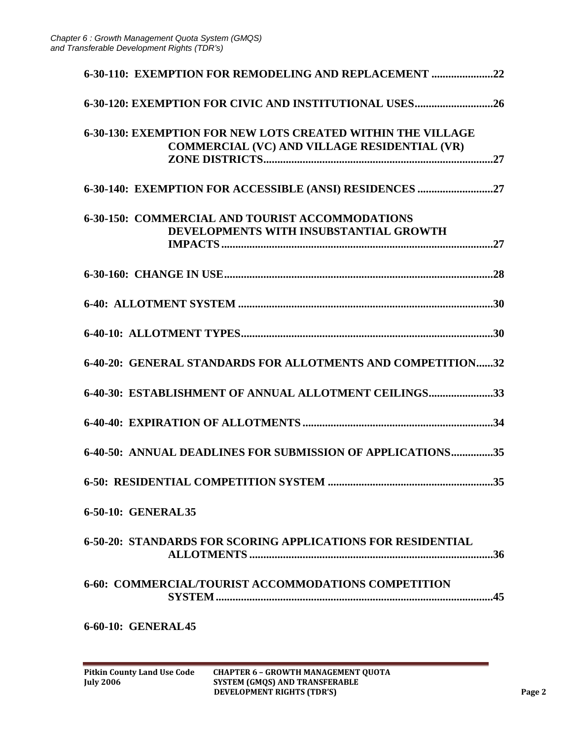| 6-30-110: EXEMPTION FOR REMODELING AND REPLACEMENT 22                                                              |  |
|--------------------------------------------------------------------------------------------------------------------|--|
| 6-30-120: EXEMPTION FOR CIVIC AND INSTITUTIONAL USES26                                                             |  |
| 6-30-130: EXEMPTION FOR NEW LOTS CREATED WITHIN THE VILLAGE<br><b>COMMERCIAL (VC) AND VILLAGE RESIDENTIAL (VR)</b> |  |
| 6-30-140: EXEMPTION FOR ACCESSIBLE (ANSI) RESIDENCES 27                                                            |  |
| 6-30-150: COMMERCIAL AND TOURIST ACCOMMODATIONS<br>DEVELOPMENTS WITH INSUBSTANTIAL GROWTH                          |  |
|                                                                                                                    |  |
|                                                                                                                    |  |
|                                                                                                                    |  |
| 6-40-20: GENERAL STANDARDS FOR ALLOTMENTS AND COMPETITION32                                                        |  |
| 6-40-30: ESTABLISHMENT OF ANNUAL ALLOTMENT CEILINGS33                                                              |  |
|                                                                                                                    |  |
| 6-40-50: ANNUAL DEADLINES FOR SUBMISSION OF APPLICATIONS35                                                         |  |
|                                                                                                                    |  |
| 6-50-10: GENERAL35                                                                                                 |  |
| 6-50-20: STANDARDS FOR SCORING APPLICATIONS FOR RESIDENTIAL                                                        |  |
| 6-60: COMMERCIAL/TOURIST ACCOMMODATIONS COMPETITION                                                                |  |
|                                                                                                                    |  |

**[6-60-10: GENERAL45](#page-44-1)**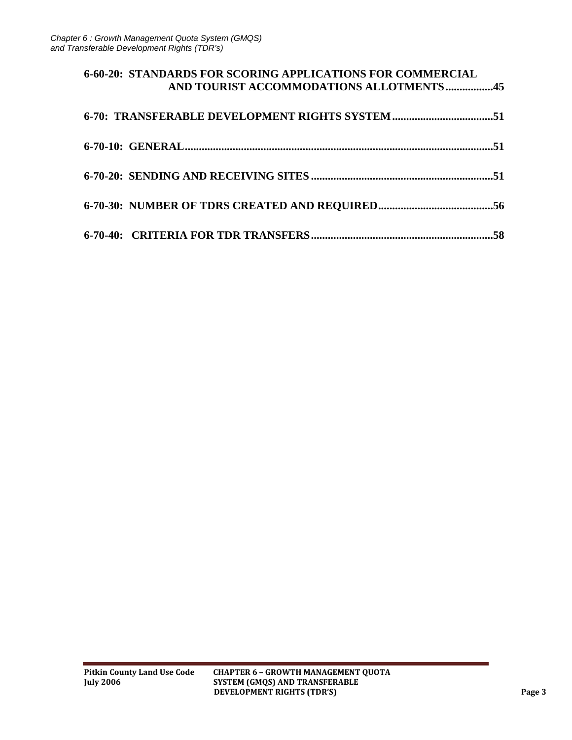| <b>6-60-20: STANDARDS FOR SCORING APPLICATIONS FOR COMMERCIAL</b> |  |
|-------------------------------------------------------------------|--|
| AND TOURIST ACCOMMODATIONS ALLOTMENTS45                           |  |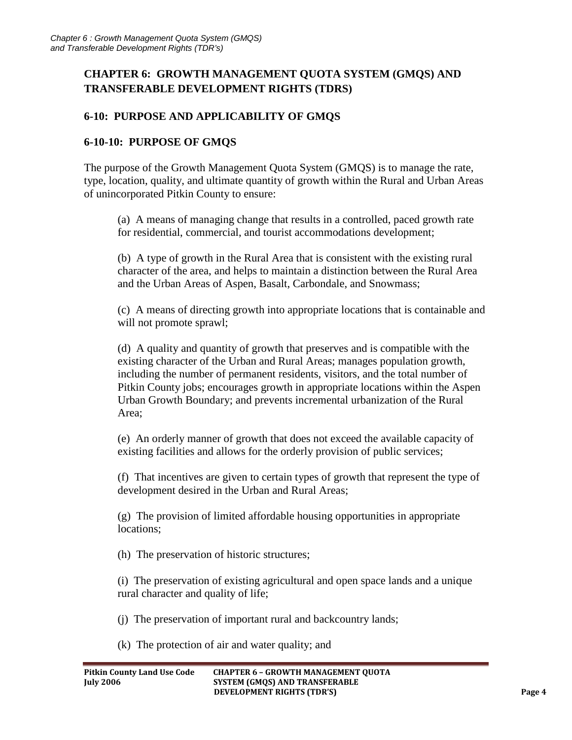# **CHAPTER 6: GROWTH MANAGEMENT QUOTA SYSTEM (GMQS) AND TRANSFERABLE DEVELOPMENT RIGHTS (TDRS)**

## <span id="page-3-0"></span>**6-10: PURPOSE AND APPLICABILITY OF GMQS**

#### <span id="page-3-1"></span>**6-10-10: PURPOSE OF GMQS**

The purpose of the Growth Management Quota System (GMQS) is to manage the rate, type, location, quality, and ultimate quantity of growth within the Rural and Urban Areas of unincorporated Pitkin County to ensure:

(a) A means of managing change that results in a controlled, paced growth rate for residential, commercial, and tourist accommodations development;

(b) A type of growth in the Rural Area that is consistent with the existing rural character of the area, and helps to maintain a distinction between the Rural Area and the Urban Areas of Aspen, Basalt, Carbondale, and Snowmass;

(c) A means of directing growth into appropriate locations that is containable and will not promote sprawl;

(d) A quality and quantity of growth that preserves and is compatible with the existing character of the Urban and Rural Areas; manages population growth, including the number of permanent residents, visitors, and the total number of Pitkin County jobs; encourages growth in appropriate locations within the Aspen Urban Growth Boundary; and prevents incremental urbanization of the Rural Area;

(e) An orderly manner of growth that does not exceed the available capacity of existing facilities and allows for the orderly provision of public services;

(f) That incentives are given to certain types of growth that represent the type of development desired in the Urban and Rural Areas;

(g) The provision of limited affordable housing opportunities in appropriate locations;

(h) The preservation of historic structures;

(i) The preservation of existing agricultural and open space lands and a unique rural character and quality of life;

- (j) The preservation of important rural and backcountry lands;
- (k) The protection of air and water quality; and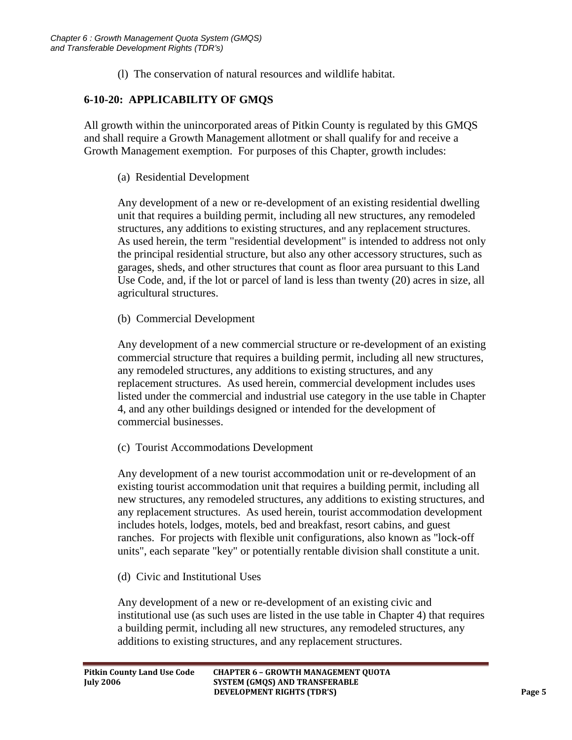(l) The conservation of natural resources and wildlife habitat.

## <span id="page-4-0"></span>**6-10-20: APPLICABILITY OF GMQS**

All growth within the unincorporated areas of Pitkin County is regulated by this GMQS and shall require a Growth Management allotment or shall qualify for and receive a Growth Management exemption. For purposes of this Chapter, growth includes:

(a) Residential Development

Any development of a new or re-development of an existing residential dwelling unit that requires a building permit, including all new structures, any remodeled structures, any additions to existing structures, and any replacement structures. As used herein, the term "residential development" is intended to address not only the principal residential structure, but also any other accessory structures, such as garages, sheds, and other structures that count as floor area pursuant to this Land Use Code, and, if the lot or parcel of land is less than twenty (20) acres in size, all agricultural structures.

(b) Commercial Development

Any development of a new commercial structure or re-development of an existing commercial structure that requires a building permit, including all new structures, any remodeled structures, any additions to existing structures, and any replacement structures. As used herein, commercial development includes uses listed under the commercial and industrial use category in the use table in Chapter 4, and any other buildings designed or intended for the development of commercial businesses.

(c) Tourist Accommodations Development

Any development of a new tourist accommodation unit or re-development of an existing tourist accommodation unit that requires a building permit, including all new structures, any remodeled structures, any additions to existing structures, and any replacement structures. As used herein, tourist accommodation development includes hotels, lodges, motels, bed and breakfast, resort cabins, and guest ranches. For projects with flexible unit configurations, also known as "lock-off units", each separate "key" or potentially rentable division shall constitute a unit.

(d) Civic and Institutional Uses

Any development of a new or re-development of an existing civic and institutional use (as such uses are listed in the use table in Chapter 4) that requires a building permit, including all new structures, any remodeled structures, any additions to existing structures, and any replacement structures.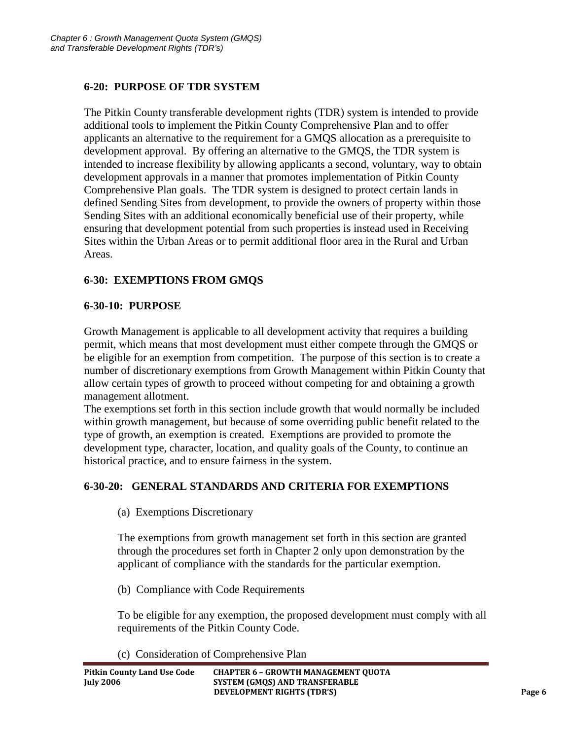## <span id="page-5-0"></span>**6-20: PURPOSE OF TDR SYSTEM**

The Pitkin County transferable development rights (TDR) system is intended to provide additional tools to implement the Pitkin County Comprehensive Plan and to offer applicants an alternative to the requirement for a GMQS allocation as a prerequisite to development approval. By offering an alternative to the GMQS, the TDR system is intended to increase flexibility by allowing applicants a second, voluntary, way to obtain development approvals in a manner that promotes implementation of Pitkin County Comprehensive Plan goals. The TDR system is designed to protect certain lands in defined Sending Sites from development, to provide the owners of property within those Sending Sites with an additional economically beneficial use of their property, while ensuring that development potential from such properties is instead used in Receiving Sites within the Urban Areas or to permit additional floor area in the Rural and Urban Areas.

## <span id="page-5-1"></span>**6-30: EXEMPTIONS FROM GMQS**

## <span id="page-5-2"></span>**6-30-10: PURPOSE**

Growth Management is applicable to all development activity that requires a building permit, which means that most development must either compete through the GMQS or be eligible for an exemption from competition. The purpose of this section is to create a number of discretionary exemptions from Growth Management within Pitkin County that allow certain types of growth to proceed without competing for and obtaining a growth management allotment.

The exemptions set forth in this section include growth that would normally be included within growth management, but because of some overriding public benefit related to the type of growth, an exemption is created. Exemptions are provided to promote the development type, character, location, and quality goals of the County, to continue an historical practice, and to ensure fairness in the system.

## <span id="page-5-3"></span>**6-30-20: GENERAL STANDARDS AND CRITERIA FOR EXEMPTIONS**

(a) Exemptions Discretionary

The exemptions from growth management set forth in this section are granted through the procedures set forth in Chapter 2 only upon demonstration by the applicant of compliance with the standards for the particular exemption.

(b) Compliance with Code Requirements

To be eligible for any exemption, the proposed development must comply with all requirements of the Pitkin County Code.

(c) Consideration of Comprehensive Plan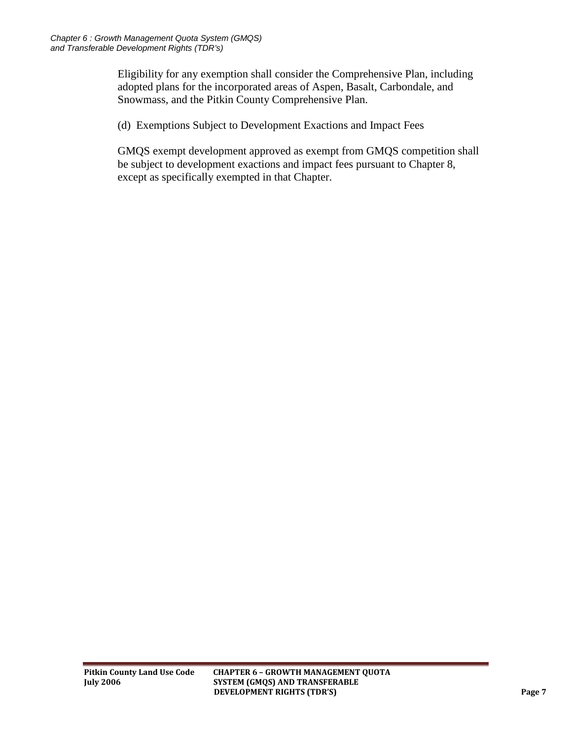Eligibility for any exemption shall consider the Comprehensive Plan, including adopted plans for the incorporated areas of Aspen, Basalt, Carbondale, and Snowmass, and the Pitkin County Comprehensive Plan.

(d) Exemptions Subject to Development Exactions and Impact Fees

GMQS exempt development approved as exempt from GMQS competition shall be subject to development exactions and impact fees pursuant to Chapter 8, except as specifically exempted in that Chapter.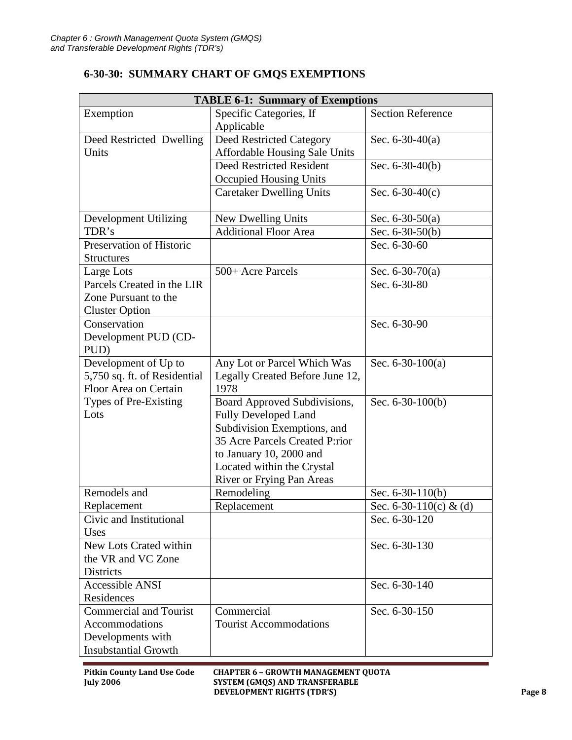<span id="page-7-0"></span>

|  |  |  |  | <b>6-30-30: SUMMARY CHART OF GMQS EXEMPTIONS</b> |
|--|--|--|--|--------------------------------------------------|
|--|--|--|--|--------------------------------------------------|

| <b>TABLE 6-1: Summary of Exemptions</b> |                                      |                          |  |
|-----------------------------------------|--------------------------------------|--------------------------|--|
| Exemption                               | Specific Categories, If              | <b>Section Reference</b> |  |
|                                         | Applicable                           |                          |  |
| Deed Restricted Dwelling                | <b>Deed Restricted Category</b>      | Sec. $6-30-40(a)$        |  |
| Units                                   | <b>Affordable Housing Sale Units</b> |                          |  |
|                                         | <b>Deed Restricted Resident</b>      | Sec. $6-30-40(b)$        |  |
|                                         | Occupied Housing Units               |                          |  |
|                                         | <b>Caretaker Dwelling Units</b>      | Sec. $6-30-40(c)$        |  |
| Development Utilizing                   | New Dwelling Units                   | Sec. $6-30-50(a)$        |  |
| TDR's                                   | <b>Additional Floor Area</b>         | Sec. $6-30-50(b)$        |  |
| Preservation of Historic                |                                      | Sec. 6-30-60             |  |
| <b>Structures</b>                       |                                      |                          |  |
| Large Lots                              | 500+ Acre Parcels                    | Sec. $6-30-70(a)$        |  |
| Parcels Created in the LIR              |                                      | Sec. 6-30-80             |  |
| Zone Pursuant to the                    |                                      |                          |  |
| <b>Cluster Option</b>                   |                                      |                          |  |
| Conservation                            |                                      | Sec. 6-30-90             |  |
| Development PUD (CD-                    |                                      |                          |  |
| PUD)                                    |                                      |                          |  |
| Development of Up to                    | Any Lot or Parcel Which Was          | Sec. $6-30-100(a)$       |  |
| 5,750 sq. ft. of Residential            | Legally Created Before June 12,      |                          |  |
| Floor Area on Certain                   | 1978                                 |                          |  |
| Types of Pre-Existing                   | Board Approved Subdivisions,         | Sec. $6-30-100(b)$       |  |
| Lots                                    | <b>Fully Developed Land</b>          |                          |  |
|                                         | Subdivision Exemptions, and          |                          |  |
|                                         | 35 Acre Parcels Created P:rior       |                          |  |
|                                         | to January 10, 2000 and              |                          |  |
|                                         | Located within the Crystal           |                          |  |
|                                         | River or Frying Pan Areas            |                          |  |
| Remodels and                            | Remodeling                           | Sec. $6-30-110(b)$       |  |
| Replacement                             | Replacement                          | Sec. 6-30-110(c) & (d)   |  |
| Civic and Institutional                 |                                      | Sec. 6-30-120            |  |
| Uses                                    |                                      |                          |  |
| New Lots Crated within                  |                                      | Sec. 6-30-130            |  |
| the VR and VC Zone                      |                                      |                          |  |
| <b>Districts</b>                        |                                      |                          |  |
| <b>Accessible ANSI</b>                  |                                      | Sec. 6-30-140            |  |
| Residences                              |                                      |                          |  |
| <b>Commercial and Tourist</b>           | Commercial                           | Sec. 6-30-150            |  |
| Accommodations                          | <b>Tourist Accommodations</b>        |                          |  |
| Developments with                       |                                      |                          |  |
| <b>Insubstantial Growth</b>             |                                      |                          |  |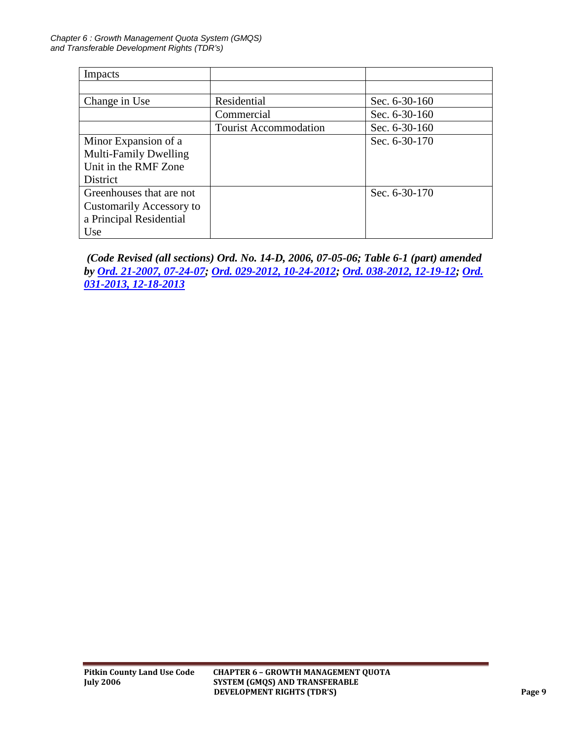| Impacts                      |                              |                 |
|------------------------------|------------------------------|-----------------|
|                              |                              |                 |
| Change in Use                | Residential                  | Sec. $6-30-160$ |
|                              | Commercial                   | Sec. 6-30-160   |
|                              | <b>Tourist Accommodation</b> | Sec. 6-30-160   |
| Minor Expansion of a         |                              | Sec. 6-30-170   |
| <b>Multi-Family Dwelling</b> |                              |                 |
| Unit in the RMF Zone         |                              |                 |
| District                     |                              |                 |
| Greenhouses that are not     |                              | Sec. 6-30-170   |
| Customarily Accessory to     |                              |                 |
| a Principal Residential      |                              |                 |
| Use                          |                              |                 |

*(Code Revised (all sections) Ord. No. 14-D, 2006, 07-05-06; Table 6-1 (part) amended by [Ord. 21-2007, 07-24-07;](http://pitkincounty.com/DocumentCenter/View/8248) [Ord. 029-2012, 10-24-2012;](http://pitkincounty.com/DocumentCenter/View/12801) [Ord. 038-2012, 12-19-12;](http://pitkincounty.com/DocumentCenter/View/8272) [Ord.](http://pitkincounty.com/DocumentCenter/View/8280)  [031-2013, 12-18-2013](http://pitkincounty.com/DocumentCenter/View/8280)*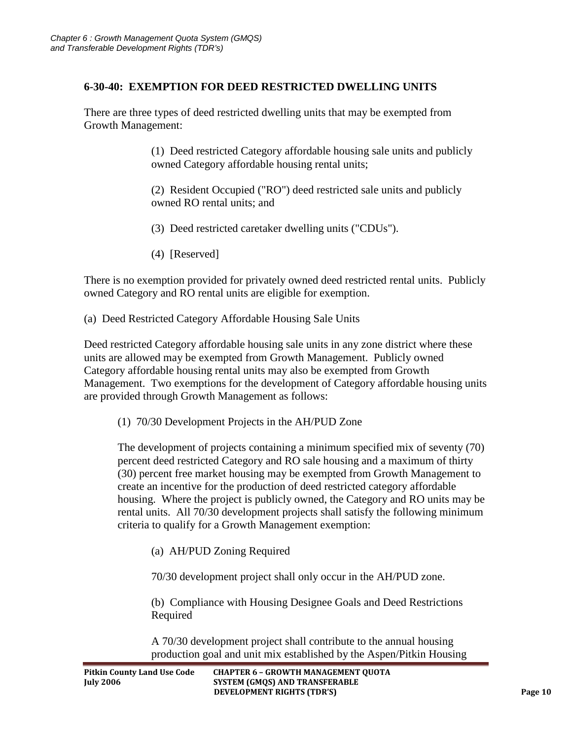#### <span id="page-9-0"></span>**6-30-40: EXEMPTION FOR DEED RESTRICTED DWELLING UNITS**

There are three types of deed restricted dwelling units that may be exempted from Growth Management:

> (1) Deed restricted Category affordable housing sale units and publicly owned Category affordable housing rental units;

(2) Resident Occupied ("RO") deed restricted sale units and publicly owned RO rental units; and

(3) Deed restricted caretaker dwelling units ("CDUs").

(4) [Reserved]

There is no exemption provided for privately owned deed restricted rental units. Publicly owned Category and RO rental units are eligible for exemption.

(a) Deed Restricted Category Affordable Housing Sale Units

Deed restricted Category affordable housing sale units in any zone district where these units are allowed may be exempted from Growth Management. Publicly owned Category affordable housing rental units may also be exempted from Growth Management. Two exemptions for the development of Category affordable housing units are provided through Growth Management as follows:

(1) 70/30 Development Projects in the AH/PUD Zone

The development of projects containing a minimum specified mix of seventy (70) percent deed restricted Category and RO sale housing and a maximum of thirty (30) percent free market housing may be exempted from Growth Management to create an incentive for the production of deed restricted category affordable housing. Where the project is publicly owned, the Category and RO units may be rental units. All 70/30 development projects shall satisfy the following minimum criteria to qualify for a Growth Management exemption:

(a) AH/PUD Zoning Required

70/30 development project shall only occur in the AH/PUD zone.

(b) Compliance with Housing Designee Goals and Deed Restrictions Required

A 70/30 development project shall contribute to the annual housing production goal and unit mix established by the Aspen/Pitkin Housing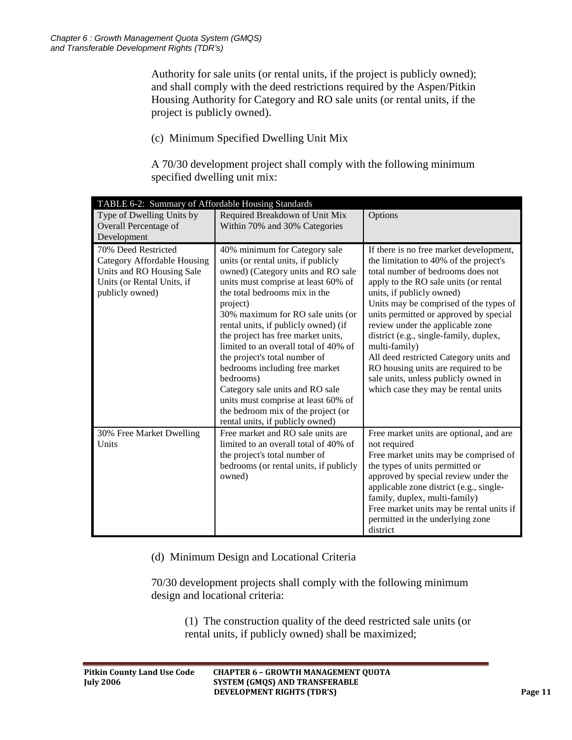Authority for sale units (or rental units, if the project is publicly owned); and shall comply with the deed restrictions required by the Aspen/Pitkin Housing Authority for Category and RO sale units (or rental units, if the project is publicly owned).

## (c) Minimum Specified Dwelling Unit Mix

A 70/30 development project shall comply with the following minimum specified dwelling unit mix:

| TABLE 6-2: Summary of Affordable Housing Standards                                                                               |                                                                                                                                                                                                                                                                                                                                                                                                                                                                                                                                                                                                |                                                                                                                                                                                                                                                                                                                                                                                                                                                                                                                                                 |  |
|----------------------------------------------------------------------------------------------------------------------------------|------------------------------------------------------------------------------------------------------------------------------------------------------------------------------------------------------------------------------------------------------------------------------------------------------------------------------------------------------------------------------------------------------------------------------------------------------------------------------------------------------------------------------------------------------------------------------------------------|-------------------------------------------------------------------------------------------------------------------------------------------------------------------------------------------------------------------------------------------------------------------------------------------------------------------------------------------------------------------------------------------------------------------------------------------------------------------------------------------------------------------------------------------------|--|
| Type of Dwelling Units by<br>Overall Percentage of<br>Development                                                                | Required Breakdown of Unit Mix<br>Within 70% and 30% Categories                                                                                                                                                                                                                                                                                                                                                                                                                                                                                                                                | Options                                                                                                                                                                                                                                                                                                                                                                                                                                                                                                                                         |  |
| 70% Deed Restricted<br>Category Affordable Housing<br>Units and RO Housing Sale<br>Units (or Rental Units, if<br>publicly owned) | 40% minimum for Category sale<br>units (or rental units, if publicly<br>owned) (Category units and RO sale<br>units must comprise at least 60% of<br>the total bedrooms mix in the<br>project)<br>30% maximum for RO sale units (or<br>rental units, if publicly owned) (if<br>the project has free market units,<br>limited to an overall total of 40% of<br>the project's total number of<br>bedrooms including free market<br>bedrooms)<br>Category sale units and RO sale<br>units must comprise at least 60% of<br>the bedroom mix of the project (or<br>rental units, if publicly owned) | If there is no free market development,<br>the limitation to 40% of the project's<br>total number of bedrooms does not<br>apply to the RO sale units (or rental<br>units, if publicly owned)<br>Units may be comprised of the types of<br>units permitted or approved by special<br>review under the applicable zone<br>district (e.g., single-family, duplex,<br>multi-family)<br>All deed restricted Category units and<br>RO housing units are required to be<br>sale units, unless publicly owned in<br>which case they may be rental units |  |
| 30% Free Market Dwelling<br>Units                                                                                                | Free market and RO sale units are<br>limited to an overall total of 40% of<br>the project's total number of<br>bedrooms (or rental units, if publicly<br>owned)                                                                                                                                                                                                                                                                                                                                                                                                                                | Free market units are optional, and are<br>not required<br>Free market units may be comprised of<br>the types of units permitted or<br>approved by special review under the<br>applicable zone district (e.g., single-<br>family, duplex, multi-family)<br>Free market units may be rental units if<br>permitted in the underlying zone<br>district                                                                                                                                                                                             |  |

## (d) Minimum Design and Locational Criteria

70/30 development projects shall comply with the following minimum design and locational criteria:

> (1) The construction quality of the deed restricted sale units (or rental units, if publicly owned) shall be maximized;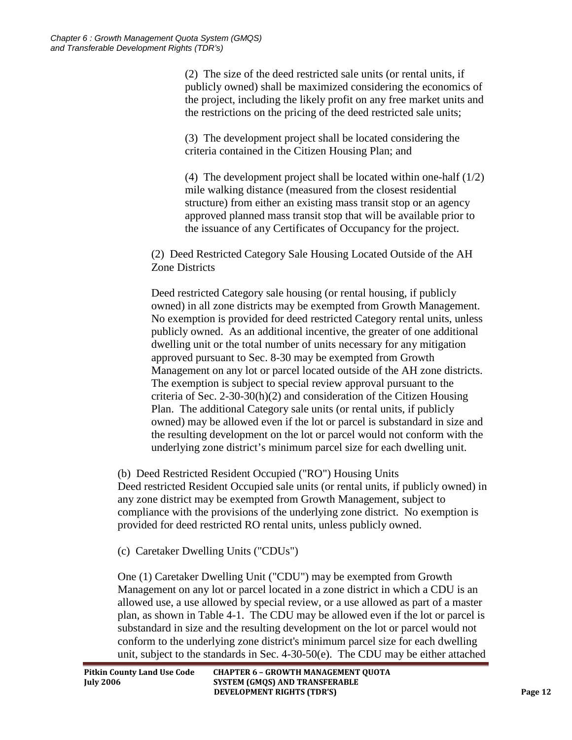(2) The size of the deed restricted sale units (or rental units, if publicly owned) shall be maximized considering the economics of the project, including the likely profit on any free market units and the restrictions on the pricing of the deed restricted sale units;

(3) The development project shall be located considering the criteria contained in the Citizen Housing Plan; and

(4) The development project shall be located within one-half (1/2) mile walking distance (measured from the closest residential structure) from either an existing mass transit stop or an agency approved planned mass transit stop that will be available prior to the issuance of any Certificates of Occupancy for the project.

(2) Deed Restricted Category Sale Housing Located Outside of the AH Zone Districts

Deed restricted Category sale housing (or rental housing, if publicly owned) in all zone districts may be exempted from Growth Management. No exemption is provided for deed restricted Category rental units, unless publicly owned. As an additional incentive, the greater of one additional dwelling unit or the total number of units necessary for any mitigation approved pursuant to Sec. 8-30 may be exempted from Growth Management on any lot or parcel located outside of the AH zone districts. The exemption is subject to special review approval pursuant to the criteria of Sec. 2-30-30(h)(2) and consideration of the Citizen Housing Plan. The additional Category sale units (or rental units, if publicly owned) may be allowed even if the lot or parcel is substandard in size and the resulting development on the lot or parcel would not conform with the underlying zone district's minimum parcel size for each dwelling unit.

(b) Deed Restricted Resident Occupied ("RO") Housing Units Deed restricted Resident Occupied sale units (or rental units, if publicly owned) in any zone district may be exempted from Growth Management, subject to compliance with the provisions of the underlying zone district. No exemption is provided for deed restricted RO rental units, unless publicly owned.

(c) Caretaker Dwelling Units ("CDUs")

One (1) Caretaker Dwelling Unit ("CDU") may be exempted from Growth Management on any lot or parcel located in a zone district in which a CDU is an allowed use, a use allowed by special review, or a use allowed as part of a master plan, as shown in Table 4-1. The CDU may be allowed even if the lot or parcel is substandard in size and the resulting development on the lot or parcel would not conform to the underlying zone district's minimum parcel size for each dwelling unit, subject to the standards in Sec. 4-30-50(e). The CDU may be either attached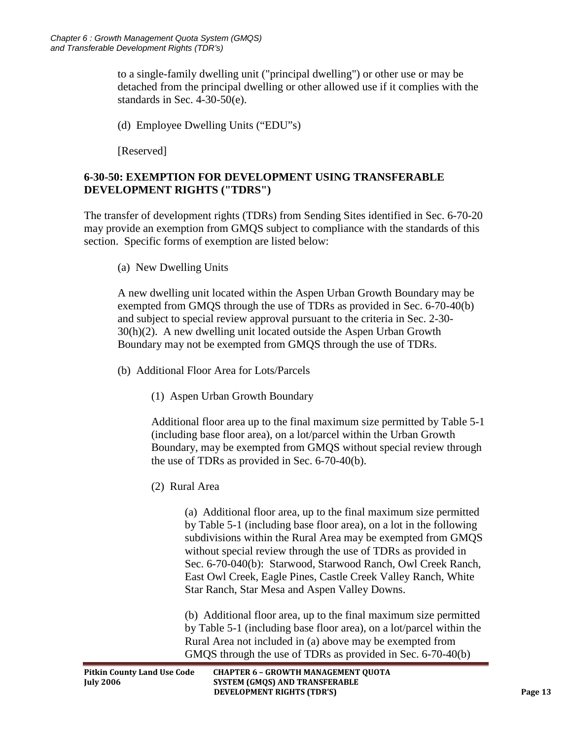to a single-family dwelling unit ("principal dwelling") or other use or may be detached from the principal dwelling or other allowed use if it complies with the standards in Sec. 4-30-50(e).

(d) Employee Dwelling Units ("EDU"s)

[Reserved]

## <span id="page-12-1"></span><span id="page-12-0"></span>**6-30-50: EXEMPTION FOR DEVELOPMENT USING TRANSFERABLE DEVELOPMENT RIGHTS ("TDRS")**

The transfer of development rights (TDRs) from Sending Sites identified in Sec. 6-70-20 may provide an exemption from GMQS subject to compliance with the standards of this section. Specific forms of exemption are listed below:

(a) New Dwelling Units

A new dwelling unit located within the Aspen Urban Growth Boundary may be exempted from GMQS through the use of TDRs as provided in Sec. 6-70-40(b) and subject to special review approval pursuant to the criteria in Sec. 2-30- 30(h)(2). A new dwelling unit located outside the Aspen Urban Growth Boundary may not be exempted from GMQS through the use of TDRs.

- (b) Additional Floor Area for Lots/Parcels
	- (1) Aspen Urban Growth Boundary

Additional floor area up to the final maximum size permitted by Table 5-1 (including base floor area), on a lot/parcel within the Urban Growth Boundary, may be exempted from GMQS without special review through the use of TDRs as provided in Sec. 6-70-40(b).

(2) Rural Area

(a) Additional floor area, up to the final maximum size permitted by Table 5-1 (including base floor area), on a lot in the following subdivisions within the Rural Area may be exempted from GMQS without special review through the use of TDRs as provided in Sec. 6-70-040(b): Starwood, Starwood Ranch, Owl Creek Ranch, East Owl Creek, Eagle Pines, Castle Creek Valley Ranch, White Star Ranch, Star Mesa and Aspen Valley Downs.

(b) Additional floor area, up to the final maximum size permitted by Table 5-1 (including base floor area), on a lot/parcel within the Rural Area not included in (a) above may be exempted from GMQS through the use of TDRs as provided in Sec. 6-70-40(b)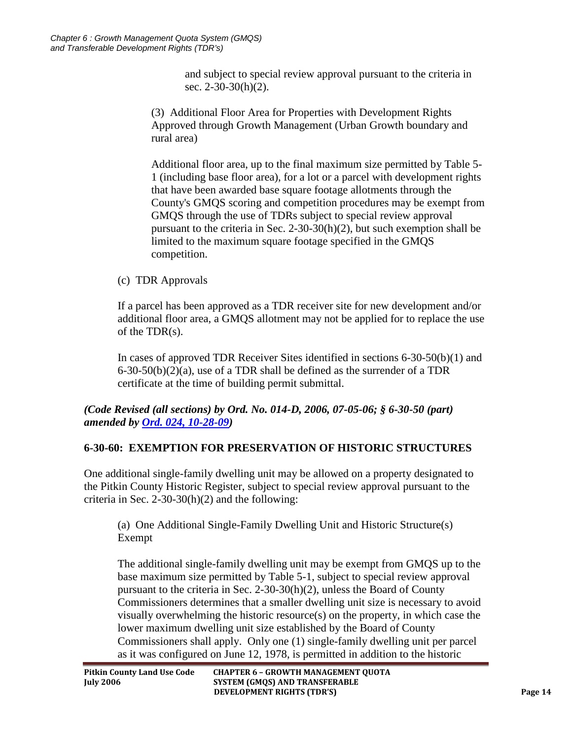and subject to special review approval pursuant to the criteria in sec. 2-30-30(h)(2).

(3) Additional Floor Area for Properties with Development Rights Approved through Growth Management (Urban Growth boundary and rural area)

Additional floor area, up to the final maximum size permitted by Table 5- 1 (including base floor area), for a lot or a parcel with development rights that have been awarded base square footage allotments through the County's GMQS scoring and competition procedures may be exempt from GMQS through the use of TDRs subject to special review approval pursuant to the criteria in Sec. 2-30-30(h)(2), but such exemption shall be limited to the maximum square footage specified in the GMQS competition.

(c) TDR Approvals

If a parcel has been approved as a TDR receiver site for new development and/or additional floor area, a GMQS allotment may not be applied for to replace the use of the TDR(s).

In cases of approved TDR Receiver Sites identified in sections 6-30-50(b)(1) and  $6-30-50(b)(2)(a)$ , use of a TDR shall be defined as the surrender of a TDR certificate at the time of building permit submittal.

## *(Code Revised (all sections) by Ord. No. 014-D, 2006, 07-05-06; § 6-30-50 (part) amended by [Ord. 024, 10-28-09\)](http://pitkincounty.com/DocumentCenter/View/8259)*

# <span id="page-13-0"></span>**6-30-60: EXEMPTION FOR PRESERVATION OF HISTORIC STRUCTURES**

One additional single-family dwelling unit may be allowed on a property designated to the Pitkin County Historic Register, subject to special review approval pursuant to the criteria in Sec.  $2-30-30(h)(2)$  and the following:

(a) One Additional Single-Family Dwelling Unit and Historic Structure(s) Exempt

The additional single-family dwelling unit may be exempt from GMQS up to the base maximum size permitted by Table 5-1, subject to special review approval pursuant to the criteria in Sec. 2-30-30(h)(2), unless the Board of County Commissioners determines that a smaller dwelling unit size is necessary to avoid visually overwhelming the historic resource(s) on the property, in which case the lower maximum dwelling unit size established by the Board of County Commissioners shall apply. Only one (1) single-family dwelling unit per parcel as it was configured on June 12, 1978, is permitted in addition to the historic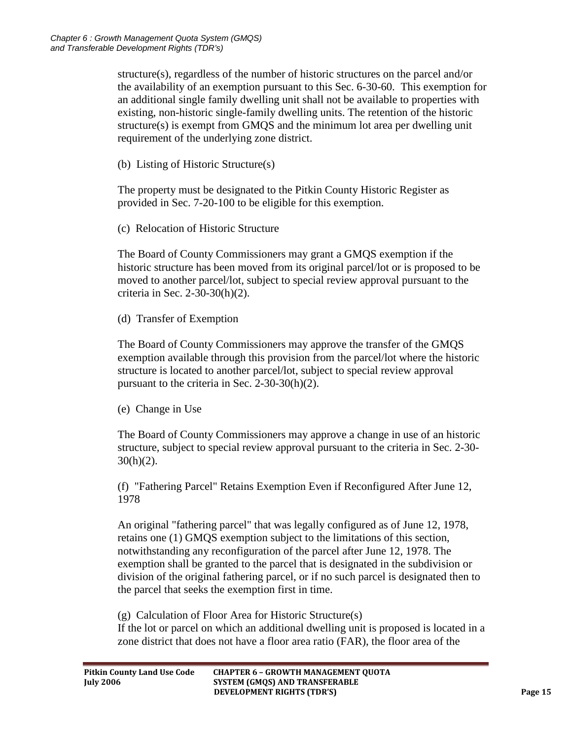structure(s), regardless of the number of historic structures on the parcel and/or the availability of an exemption pursuant to this Sec. 6-30-60. This exemption for an additional single family dwelling unit shall not be available to properties with existing, non-historic single-family dwelling units. The retention of the historic structure(s) is exempt from GMQS and the minimum lot area per dwelling unit requirement of the underlying zone district.

(b) Listing of Historic Structure(s)

The property must be designated to the Pitkin County Historic Register as provided in Sec. 7-20-100 to be eligible for this exemption.

(c) Relocation of Historic Structure

The Board of County Commissioners may grant a GMQS exemption if the historic structure has been moved from its original parcel/lot or is proposed to be moved to another parcel/lot, subject to special review approval pursuant to the criteria in Sec. 2-30-30(h)(2).

(d) Transfer of Exemption

The Board of County Commissioners may approve the transfer of the GMQS exemption available through this provision from the parcel/lot where the historic structure is located to another parcel/lot, subject to special review approval pursuant to the criteria in Sec. 2-30-30(h)(2).

(e) Change in Use

The Board of County Commissioners may approve a change in use of an historic structure, subject to special review approval pursuant to the criteria in Sec. 2-30-  $30(h)(2)$ .

(f) "Fathering Parcel" Retains Exemption Even if Reconfigured After June 12, 1978

An original "fathering parcel" that was legally configured as of June 12, 1978, retains one (1) GMQS exemption subject to the limitations of this section, notwithstanding any reconfiguration of the parcel after June 12, 1978. The exemption shall be granted to the parcel that is designated in the subdivision or division of the original fathering parcel, or if no such parcel is designated then to the parcel that seeks the exemption first in time.

(g) Calculation of Floor Area for Historic Structure(s) If the lot or parcel on which an additional dwelling unit is proposed is located in a zone district that does not have a floor area ratio (FAR), the floor area of the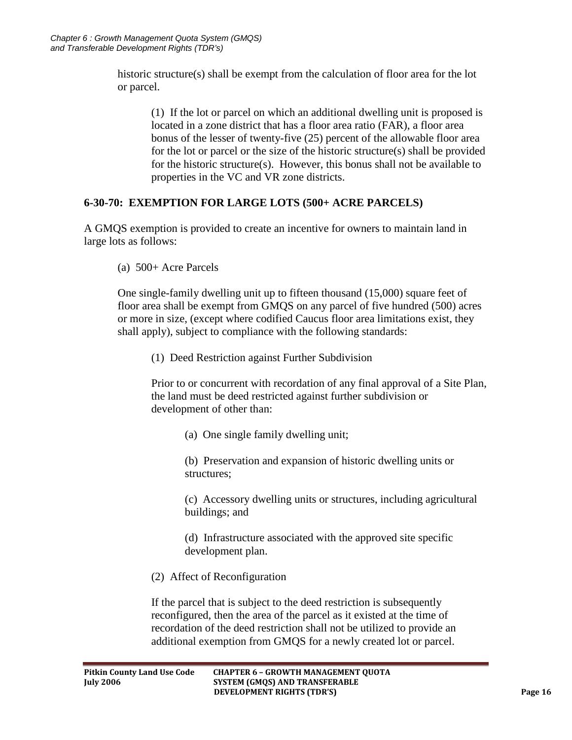historic structure(s) shall be exempt from the calculation of floor area for the lot or parcel.

(1) If the lot or parcel on which an additional dwelling unit is proposed is located in a zone district that has a floor area ratio (FAR), a floor area bonus of the lesser of twenty-five (25) percent of the allowable floor area for the lot or parcel or the size of the historic structure(s) shall be provided for the historic structure(s). However, this bonus shall not be available to properties in the VC and VR zone districts.

# <span id="page-15-0"></span>**6-30-70: EXEMPTION FOR LARGE LOTS (500+ ACRE PARCELS)**

A GMQS exemption is provided to create an incentive for owners to maintain land in large lots as follows:

(a) 500+ Acre Parcels

One single-family dwelling unit up to fifteen thousand (15,000) square feet of floor area shall be exempt from GMQS on any parcel of five hundred (500) acres or more in size, (except where codified Caucus floor area limitations exist, they shall apply), subject to compliance with the following standards:

(1) Deed Restriction against Further Subdivision

Prior to or concurrent with recordation of any final approval of a Site Plan, the land must be deed restricted against further subdivision or development of other than:

(a) One single family dwelling unit;

(b) Preservation and expansion of historic dwelling units or structures;

(c) Accessory dwelling units or structures, including agricultural buildings; and

(d) Infrastructure associated with the approved site specific development plan.

(2) Affect of Reconfiguration

If the parcel that is subject to the deed restriction is subsequently reconfigured, then the area of the parcel as it existed at the time of recordation of the deed restriction shall not be utilized to provide an additional exemption from GMQS for a newly created lot or parcel.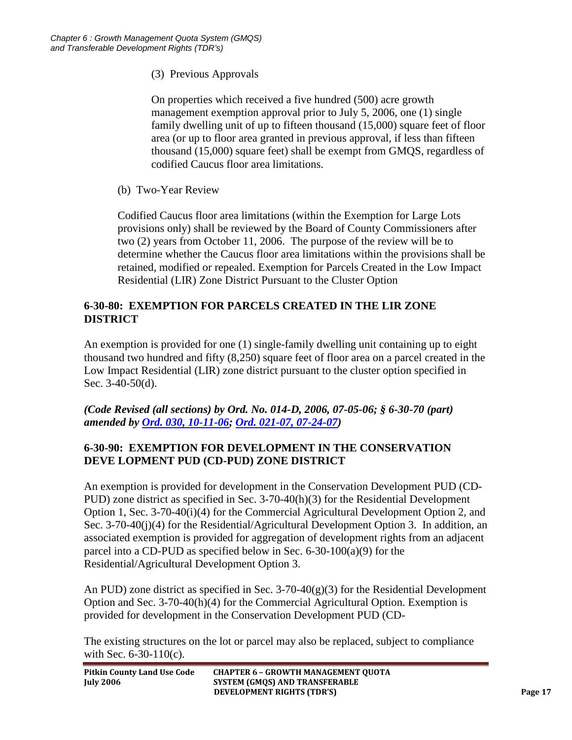(3) Previous Approvals

On properties which received a five hundred (500) acre growth management exemption approval prior to July 5, 2006, one (1) single family dwelling unit of up to fifteen thousand (15,000) square feet of floor area (or up to floor area granted in previous approval, if less than fifteen thousand (15,000) square feet) shall be exempt from GMQS, regardless of codified Caucus floor area limitations.

(b) Two-Year Review

Codified Caucus floor area limitations (within the Exemption for Large Lots provisions only) shall be reviewed by the Board of County Commissioners after two (2) years from October 11, 2006. The purpose of the review will be to determine whether the Caucus floor area limitations within the provisions shall be retained, modified or repealed. Exemption for Parcels Created in the Low Impact Residential (LIR) Zone District Pursuant to the Cluster Option

## <span id="page-16-0"></span>**6-30-80: EXEMPTION FOR PARCELS CREATED IN THE LIR ZONE DISTRICT**

An exemption is provided for one (1) single-family dwelling unit containing up to eight thousand two hundred and fifty (8,250) square feet of floor area on a parcel created in the Low Impact Residential (LIR) zone district pursuant to the cluster option specified in Sec. 3-40-50(d).

*(Code Revised (all sections) by Ord. No. 014-D, 2006, 07-05-06; § 6-30-70 (part) amended by Ord. [030, 10-11-06;](http://pitkincounty.com/DocumentCenter/View/8290) Ord. [021-07, 07-24-07\)](http://pitkincounty.com/DocumentCenter/View/8248)*

## <span id="page-16-1"></span>**6-30-90: EXEMPTION FOR DEVELOPMENT IN THE CONSERVATION DEVE LOPMENT PUD (CD-PUD) ZONE DISTRICT**

An exemption is provided for development in the Conservation Development PUD (CD-PUD) zone district as specified in Sec. 3-70-40(h)(3) for the Residential Development Option 1, Sec. 3-70-40(i)(4) for the Commercial Agricultural Development Option 2, and Sec. 3-70-40(j)(4) for the Residential/Agricultural Development Option 3. In addition, an associated exemption is provided for aggregation of development rights from an adjacent parcel into a CD-PUD as specified below in Sec. 6-30-100(a)(9) for the Residential/Agricultural Development Option 3.

An PUD) zone district as specified in Sec. 3-70-40(g)(3) for the Residential Development Option and Sec. 3-70-40(h)(4) for the Commercial Agricultural Option. Exemption is provided for development in the Conservation Development PUD (CD-

The existing structures on the lot or parcel may also be replaced, subject to compliance with Sec. 6-30-110(c).

| <b>Pitkin County Land Use Code</b> | <b>CHAPTER 6 - GROWTH MANAGEMENT OUOTA</b> |         |
|------------------------------------|--------------------------------------------|---------|
| <b>July 2006</b>                   | SYSTEM (GMQS) AND TRANSFERABLE             |         |
|                                    | DEVELOPMENT RIGHTS (TDR'S)                 | Page 17 |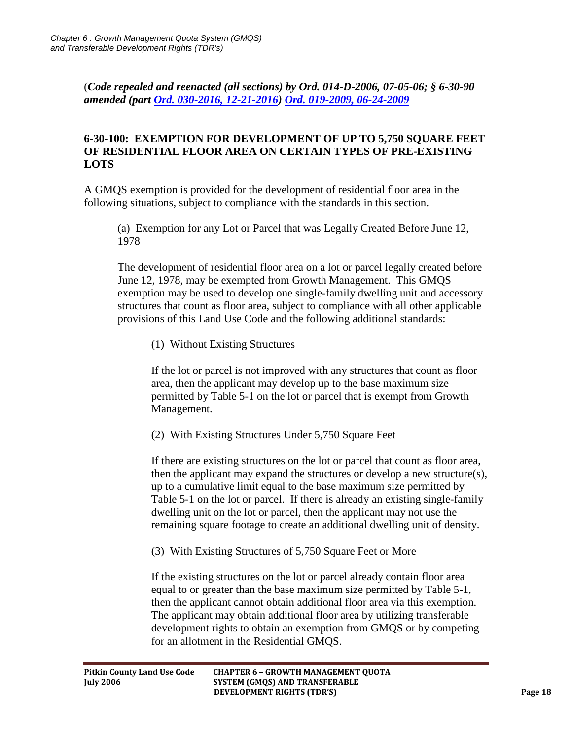(*Code repealed and reenacted (all sections) by Ord. 014-D-2006, 07-05-06; § 6-30-90 amended (part [Ord. 030-2016, 12-21-2016\)](http://pitkincounty.com/DocumentCenter/View/12806) [Ord. 019-2009, 06-24-2009](http://pitkincounty.com/DocumentCenter/View/8261)*

## <span id="page-17-0"></span>**6-30-100: EXEMPTION FOR DEVELOPMENT OF UP TO 5,750 SQUARE FEET OF RESIDENTIAL FLOOR AREA ON CERTAIN TYPES OF PRE-EXISTING LOTS**

A GMQS exemption is provided for the development of residential floor area in the following situations, subject to compliance with the standards in this section.

(a) Exemption for any Lot or Parcel that was Legally Created Before June 12, 1978

The development of residential floor area on a lot or parcel legally created before June 12, 1978, may be exempted from Growth Management. This GMQS exemption may be used to develop one single-family dwelling unit and accessory structures that count as floor area, subject to compliance with all other applicable provisions of this Land Use Code and the following additional standards:

(1) Without Existing Structures

If the lot or parcel is not improved with any structures that count as floor area, then the applicant may develop up to the base maximum size permitted by Table 5-1 on the lot or parcel that is exempt from Growth Management.

(2) With Existing Structures Under 5,750 Square Feet

If there are existing structures on the lot or parcel that count as floor area, then the applicant may expand the structures or develop a new structure(s), up to a cumulative limit equal to the base maximum size permitted by Table 5-1 on the lot or parcel. If there is already an existing single-family dwelling unit on the lot or parcel, then the applicant may not use the remaining square footage to create an additional dwelling unit of density.

(3) With Existing Structures of 5,750 Square Feet or More

If the existing structures on the lot or parcel already contain floor area equal to or greater than the base maximum size permitted by Table 5-1, then the applicant cannot obtain additional floor area via this exemption. The applicant may obtain additional floor area by utilizing transferable development rights to obtain an exemption from GMQS or by competing for an allotment in the Residential GMQS.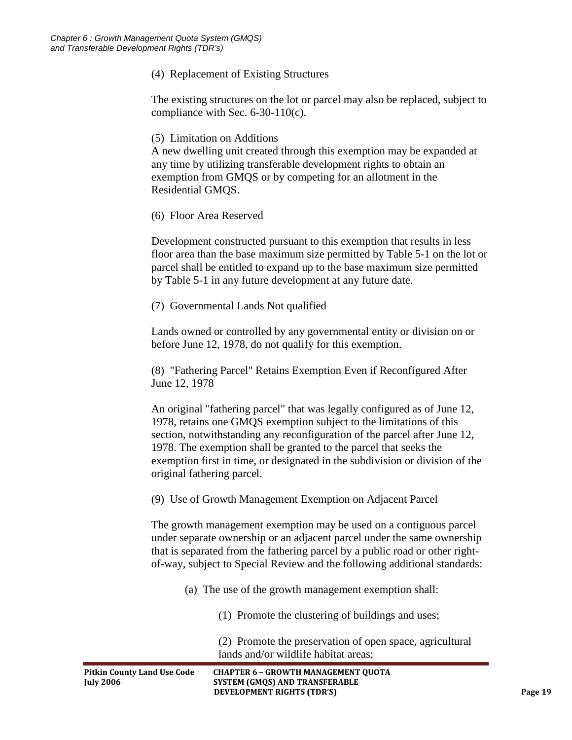(4) Replacement of Existing Structures

The existing structures on the lot or parcel may also be replaced, subject to compliance with Sec. 6-30-110(c).

(5) Limitation on Additions

A new dwelling unit created through this exemption may be expanded at any time by utilizing transferable development rights to obtain an exemption from GMQS or by competing for an allotment in the Residential GMQS.

(6) Floor Area Reserved

Development constructed pursuant to this exemption that results in less floor area than the base maximum size permitted by Table 5-1 on the lot or parcel shall be entitled to expand up to the base maximum size permitted by Table 5-1 in any future development at any future date.

(7) Governmental Lands Not qualified

Lands owned or controlled by any governmental entity or division on or before June 12, 1978, do not qualify for this exemption.

(8) "Fathering Parcel" Retains Exemption Even if Reconfigured After June 12, 1978

An original "fathering parcel" that was legally configured as of June 12, 1978, retains one GMQS exemption subject to the limitations of this section, notwithstanding any reconfiguration of the parcel after June 12, 1978. The exemption shall be granted to the parcel that seeks the exemption first in time, or designated in the subdivision or division of the original fathering parcel.

(9) Use of Growth Management Exemption on Adjacent Parcel

The growth management exemption may be used on a contiguous parcel under separate ownership or an adjacent parcel under the same ownership that is separated from the fathering parcel by a public road or other rightof-way, subject to Special Review and the following additional standards:

- (a) The use of the growth management exemption shall:
	- (1) Promote the clustering of buildings and uses;
	- (2) Promote the preservation of open space, agricultural lands and/or wildlife habitat areas;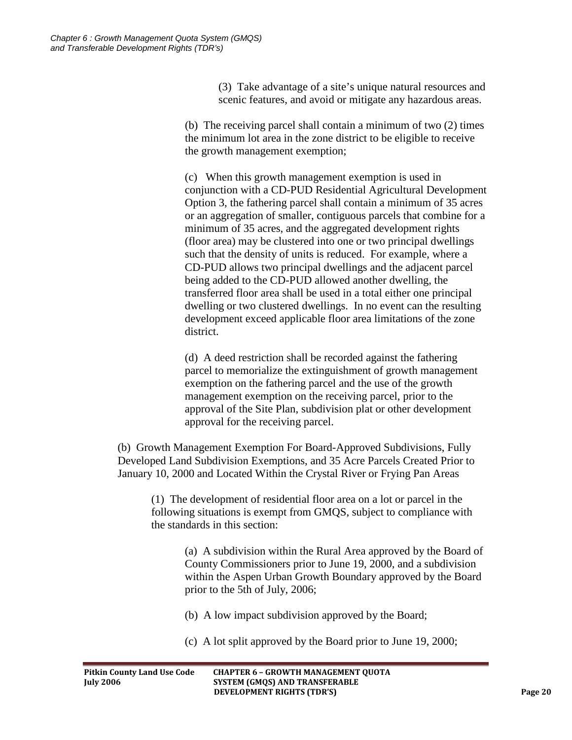(3) Take advantage of a site's unique natural resources and scenic features, and avoid or mitigate any hazardous areas.

(b) The receiving parcel shall contain a minimum of two (2) times the minimum lot area in the zone district to be eligible to receive the growth management exemption;

(c) When this growth management exemption is used in conjunction with a CD-PUD Residential Agricultural Development Option 3, the fathering parcel shall contain a minimum of 35 acres or an aggregation of smaller, contiguous parcels that combine for a minimum of 35 acres, and the aggregated development rights (floor area) may be clustered into one or two principal dwellings such that the density of units is reduced. For example, where a CD-PUD allows two principal dwellings and the adjacent parcel being added to the CD-PUD allowed another dwelling, the transferred floor area shall be used in a total either one principal dwelling or two clustered dwellings. In no event can the resulting development exceed applicable floor area limitations of the zone district.

(d) A deed restriction shall be recorded against the fathering parcel to memorialize the extinguishment of growth management exemption on the fathering parcel and the use of the growth management exemption on the receiving parcel, prior to the approval of the Site Plan, subdivision plat or other development approval for the receiving parcel.

(b) Growth Management Exemption For Board-Approved Subdivisions, Fully Developed Land Subdivision Exemptions, and 35 Acre Parcels Created Prior to January 10, 2000 and Located Within the Crystal River or Frying Pan Areas

(1) The development of residential floor area on a lot or parcel in the following situations is exempt from GMQS, subject to compliance with the standards in this section:

> (a) A subdivision within the Rural Area approved by the Board of County Commissioners prior to June 19, 2000, and a subdivision within the Aspen Urban Growth Boundary approved by the Board prior to the 5th of July, 2006;

(b) A low impact subdivision approved by the Board;

(c) A lot split approved by the Board prior to June 19, 2000;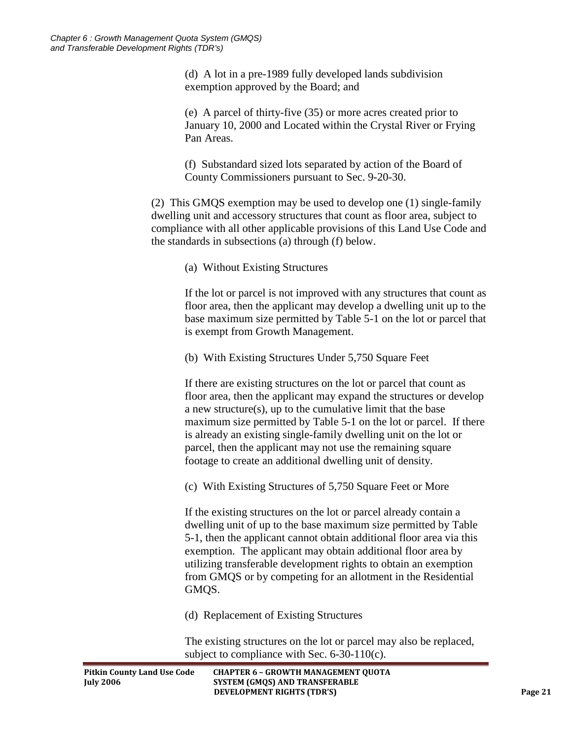(d) A lot in a pre-1989 fully developed lands subdivision exemption approved by the Board; and

(e) A parcel of thirty-five (35) or more acres created prior to January 10, 2000 and Located within the Crystal River or Frying Pan Areas.

(f) Substandard sized lots separated by action of the Board of County Commissioners pursuant to Sec. 9-20-30.

(2) This GMQS exemption may be used to develop one (1) single-family dwelling unit and accessory structures that count as floor area, subject to compliance with all other applicable provisions of this Land Use Code and the standards in subsections (a) through (f) below.

(a) Without Existing Structures

If the lot or parcel is not improved with any structures that count as floor area, then the applicant may develop a dwelling unit up to the base maximum size permitted by Table 5-1 on the lot or parcel that is exempt from Growth Management.

(b) With Existing Structures Under 5,750 Square Feet

If there are existing structures on the lot or parcel that count as floor area, then the applicant may expand the structures or develop a new structure(s), up to the cumulative limit that the base maximum size permitted by Table 5-1 on the lot or parcel. If there is already an existing single-family dwelling unit on the lot or parcel, then the applicant may not use the remaining square footage to create an additional dwelling unit of density.

(c) With Existing Structures of 5,750 Square Feet or More

If the existing structures on the lot or parcel already contain a dwelling unit of up to the base maximum size permitted by Table 5-1, then the applicant cannot obtain additional floor area via this exemption. The applicant may obtain additional floor area by utilizing transferable development rights to obtain an exemption from GMQS or by competing for an allotment in the Residential GMQS.

(d) Replacement of Existing Structures

The existing structures on the lot or parcel may also be replaced, subject to compliance with Sec. 6-30-110(c).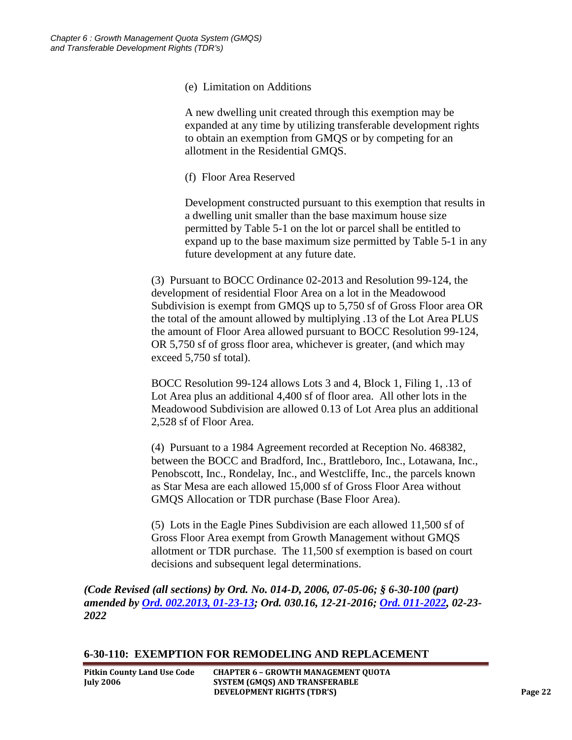#### (e) Limitation on Additions

A new dwelling unit created through this exemption may be expanded at any time by utilizing transferable development rights to obtain an exemption from GMQS or by competing for an allotment in the Residential GMQS.

(f) Floor Area Reserved

Development constructed pursuant to this exemption that results in a dwelling unit smaller than the base maximum house size permitted by Table 5-1 on the lot or parcel shall be entitled to expand up to the base maximum size permitted by Table 5-1 in any future development at any future date.

(3) Pursuant to BOCC Ordinance 02-2013 and Resolution 99-124, the development of residential Floor Area on a lot in the Meadowood Subdivision is exempt from GMQS up to 5,750 sf of Gross Floor area OR the total of the amount allowed by multiplying .13 of the Lot Area PLUS the amount of Floor Area allowed pursuant to BOCC Resolution 99-124, OR 5,750 sf of gross floor area, whichever is greater, (and which may exceed 5,750 sf total).

BOCC Resolution 99-124 allows Lots 3 and 4, Block 1, Filing 1, .13 of Lot Area plus an additional 4,400 sf of floor area. All other lots in the Meadowood Subdivision are allowed 0.13 of Lot Area plus an additional 2,528 sf of Floor Area.

(4) Pursuant to a 1984 Agreement recorded at Reception No. 468382, between the BOCC and Bradford, Inc., Brattleboro, Inc., Lotawana, Inc., Penobscott, Inc., Rondelay, Inc., and Westcliffe, Inc., the parcels known as Star Mesa are each allowed 15,000 sf of Gross Floor Area without GMQS Allocation or TDR purchase (Base Floor Area).

(5) Lots in the Eagle Pines Subdivision are each allowed 11,500 sf of Gross Floor Area exempt from Growth Management without GMQS allotment or TDR purchase. The 11,500 sf exemption is based on court decisions and subsequent legal determinations.

*(Code Revised (all sections) by Ord. No. 014-D, 2006, 07-05-06; § 6-30-100 (part) amended by [Ord. 002.2013, 01-23-13;](http://pitkincounty.com/DocumentCenter/View/8276) Ord. 030.16, 12-21-2016; [Ord. 011-2022,](https://pitkincounty.com/DocumentCenter/View/28808/boccord0112022-recorded) 02-23- 2022*

#### <span id="page-21-0"></span>**6-30-110: EXEMPTION FOR REMODELING AND REPLACEMENT**

| Pitkin County Land Use Code | <b>CHAPTER 6 - GROWTH MANAGEMENT QUOTA</b> |         |
|-----------------------------|--------------------------------------------|---------|
| <b>July 2006</b>            | SYSTEM (GMQS) AND TRANSFERABLE             |         |
|                             | DEVELOPMENT RIGHTS (TDR'S)                 | Page 22 |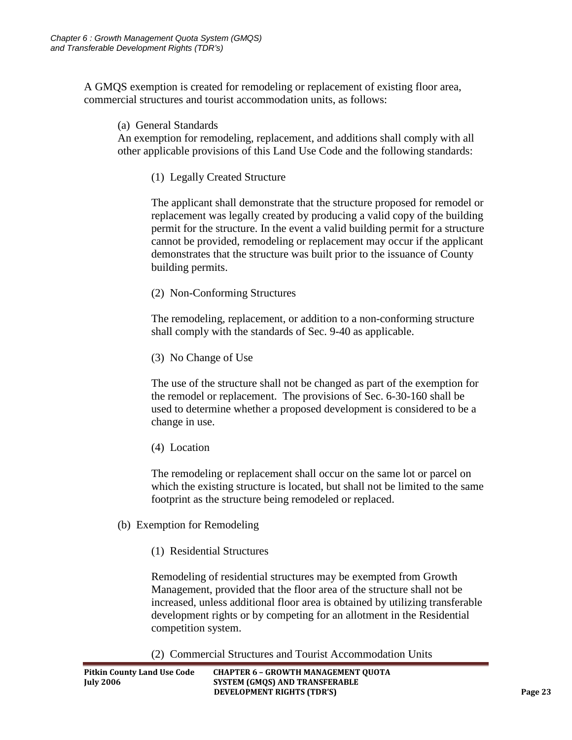A GMQS exemption is created for remodeling or replacement of existing floor area, commercial structures and tourist accommodation units, as follows:

#### (a) General Standards

An exemption for remodeling, replacement, and additions shall comply with all other applicable provisions of this Land Use Code and the following standards:

(1) Legally Created Structure

The applicant shall demonstrate that the structure proposed for remodel or replacement was legally created by producing a valid copy of the building permit for the structure. In the event a valid building permit for a structure cannot be provided, remodeling or replacement may occur if the applicant demonstrates that the structure was built prior to the issuance of County building permits.

(2) Non-Conforming Structures

The remodeling, replacement, or addition to a non-conforming structure shall comply with the standards of Sec. 9-40 as applicable.

(3) No Change of Use

The use of the structure shall not be changed as part of the exemption for the remodel or replacement. The provisions of Sec. 6-30-160 shall be used to determine whether a proposed development is considered to be a change in use.

(4) Location

The remodeling or replacement shall occur on the same lot or parcel on which the existing structure is located, but shall not be limited to the same footprint as the structure being remodeled or replaced.

- (b) Exemption for Remodeling
	- (1) Residential Structures

Remodeling of residential structures may be exempted from Growth Management, provided that the floor area of the structure shall not be increased, unless additional floor area is obtained by utilizing transferable development rights or by competing for an allotment in the Residential competition system.

(2) Commercial Structures and Tourist Accommodation Units

| <b>Pitkin County Land Use Code</b> | <b>CHAPTER 6 - GROWTH MANAGEMENT OUOTA</b> |         |
|------------------------------------|--------------------------------------------|---------|
| <b>July 2006</b>                   | SYSTEM (GMQS) AND TRANSFERABLE             |         |
|                                    | DEVELOPMENT RIGHTS (TDR'S)                 | Page 23 |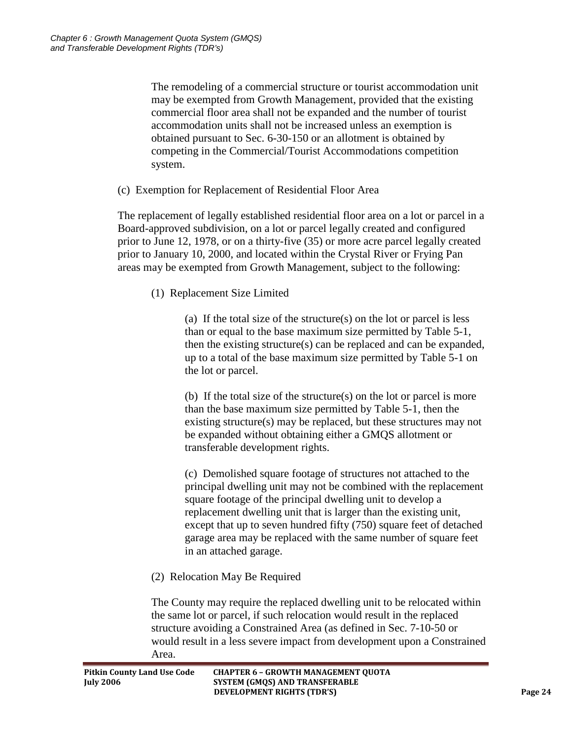The remodeling of a commercial structure or tourist accommodation unit may be exempted from Growth Management, provided that the existing commercial floor area shall not be expanded and the number of tourist accommodation units shall not be increased unless an exemption is obtained pursuant to Sec. 6-30-150 or an allotment is obtained by competing in the Commercial/Tourist Accommodations competition system.

(c) Exemption for Replacement of Residential Floor Area

The replacement of legally established residential floor area on a lot or parcel in a Board-approved subdivision, on a lot or parcel legally created and configured prior to June 12, 1978, or on a thirty-five (35) or more acre parcel legally created prior to January 10, 2000, and located within the Crystal River or Frying Pan areas may be exempted from Growth Management, subject to the following:

(1) Replacement Size Limited

(a) If the total size of the structure(s) on the lot or parcel is less than or equal to the base maximum size permitted by Table 5-1, then the existing structure(s) can be replaced and can be expanded, up to a total of the base maximum size permitted by Table 5-1 on the lot or parcel.

(b) If the total size of the structure(s) on the lot or parcel is more than the base maximum size permitted by Table 5-1, then the existing structure(s) may be replaced, but these structures may not be expanded without obtaining either a GMQS allotment or transferable development rights.

(c) Demolished square footage of structures not attached to the principal dwelling unit may not be combined with the replacement square footage of the principal dwelling unit to develop a replacement dwelling unit that is larger than the existing unit, except that up to seven hundred fifty (750) square feet of detached garage area may be replaced with the same number of square feet in an attached garage.

(2) Relocation May Be Required

The County may require the replaced dwelling unit to be relocated within the same lot or parcel, if such relocation would result in the replaced structure avoiding a Constrained Area (as defined in Sec. 7-10-50 or would result in a less severe impact from development upon a Constrained Area.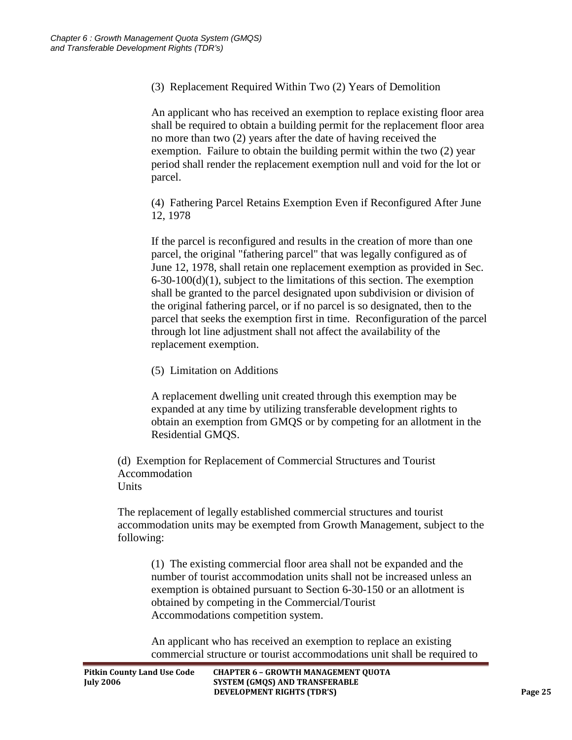(3) Replacement Required Within Two (2) Years of Demolition

An applicant who has received an exemption to replace existing floor area shall be required to obtain a building permit for the replacement floor area no more than two (2) years after the date of having received the exemption. Failure to obtain the building permit within the two (2) year period shall render the replacement exemption null and void for the lot or parcel.

(4) Fathering Parcel Retains Exemption Even if Reconfigured After June 12, 1978

If the parcel is reconfigured and results in the creation of more than one parcel, the original "fathering parcel" that was legally configured as of June 12, 1978, shall retain one replacement exemption as provided in Sec.  $6-30-100(d)(1)$ , subject to the limitations of this section. The exemption shall be granted to the parcel designated upon subdivision or division of the original fathering parcel, or if no parcel is so designated, then to the parcel that seeks the exemption first in time. Reconfiguration of the parcel through lot line adjustment shall not affect the availability of the replacement exemption.

(5) Limitation on Additions

A replacement dwelling unit created through this exemption may be expanded at any time by utilizing transferable development rights to obtain an exemption from GMQS or by competing for an allotment in the Residential GMQS.

(d) Exemption for Replacement of Commercial Structures and Tourist Accommodation **Units** 

The replacement of legally established commercial structures and tourist accommodation units may be exempted from Growth Management, subject to the following:

(1) The existing commercial floor area shall not be expanded and the number of tourist accommodation units shall not be increased unless an exemption is obtained pursuant to Section 6-30-150 or an allotment is obtained by competing in the Commercial/Tourist Accommodations competition system.

An applicant who has received an exemption to replace an existing commercial structure or tourist accommodations unit shall be required to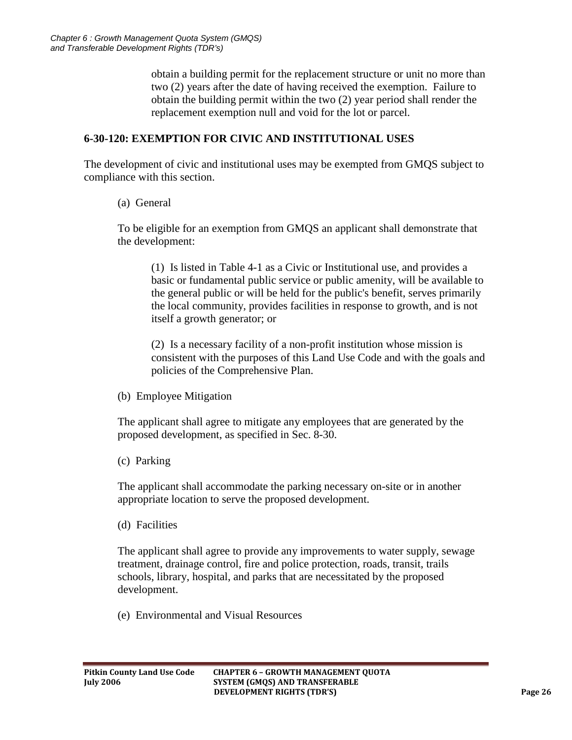obtain a building permit for the replacement structure or unit no more than two (2) years after the date of having received the exemption. Failure to obtain the building permit within the two (2) year period shall render the replacement exemption null and void for the lot or parcel.

# <span id="page-25-0"></span>**6-30-120: EXEMPTION FOR CIVIC AND INSTITUTIONAL USES**

The development of civic and institutional uses may be exempted from GMQS subject to compliance with this section.

(a) General

To be eligible for an exemption from GMQS an applicant shall demonstrate that the development:

(1) Is listed in Table 4-1 as a Civic or Institutional use, and provides a basic or fundamental public service or public amenity, will be available to the general public or will be held for the public's benefit, serves primarily the local community, provides facilities in response to growth, and is not itself a growth generator; or

(2) Is a necessary facility of a non-profit institution whose mission is consistent with the purposes of this Land Use Code and with the goals and policies of the Comprehensive Plan.

(b) Employee Mitigation

The applicant shall agree to mitigate any employees that are generated by the proposed development, as specified in Sec. 8-30.

(c) Parking

The applicant shall accommodate the parking necessary on-site or in another appropriate location to serve the proposed development.

(d) Facilities

The applicant shall agree to provide any improvements to water supply, sewage treatment, drainage control, fire and police protection, roads, transit, trails schools, library, hospital, and parks that are necessitated by the proposed development.

(e) Environmental and Visual Resources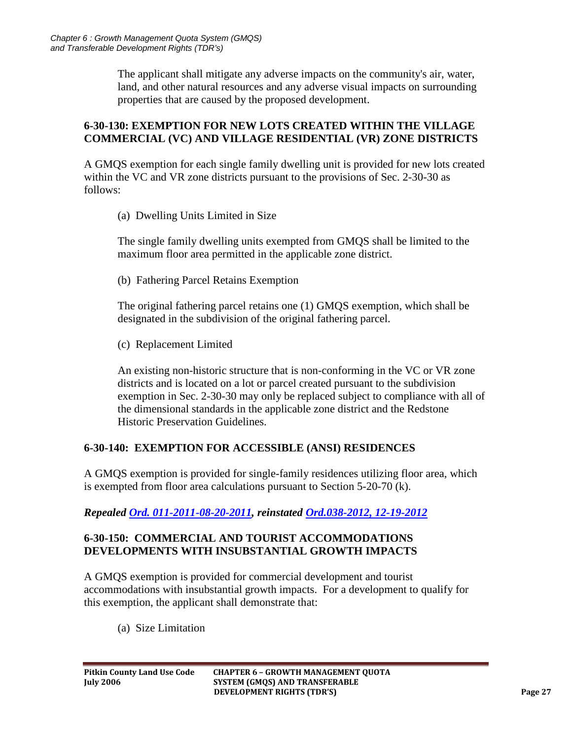The applicant shall mitigate any adverse impacts on the community's air, water, land, and other natural resources and any adverse visual impacts on surrounding properties that are caused by the proposed development.

## <span id="page-26-0"></span>**6-30-130: EXEMPTION FOR NEW LOTS CREATED WITHIN THE VILLAGE COMMERCIAL (VC) AND VILLAGE RESIDENTIAL (VR) ZONE DISTRICTS**

A GMQS exemption for each single family dwelling unit is provided for new lots created within the VC and VR zone districts pursuant to the provisions of Sec. 2-30-30 as follows:

(a) Dwelling Units Limited in Size

The single family dwelling units exempted from GMQS shall be limited to the maximum floor area permitted in the applicable zone district.

(b) Fathering Parcel Retains Exemption

The original fathering parcel retains one (1) GMQS exemption, which shall be designated in the subdivision of the original fathering parcel.

(c) Replacement Limited

An existing non-historic structure that is non-conforming in the VC or VR zone districts and is located on a lot or parcel created pursuant to the subdivision exemption in Sec. 2-30-30 may only be replaced subject to compliance with all of the dimensional standards in the applicable zone district and the Redstone Historic Preservation Guidelines.

# <span id="page-26-1"></span>**6-30-140: EXEMPTION FOR ACCESSIBLE (ANSI) RESIDENCES**

A GMQS exemption is provided for single-family residences utilizing floor area, which is exempted from floor area calculations pursuant to Section 5-20-70 (k).

# *Repealed [Ord. 011-2011-08-20-2011,](http://pitkincounty.com/DocumentCenter/View/8292) reinstated [Ord.038-2012, 12-19-2012](http://pitkincounty.com/DocumentCenter/View/8272)*

## <span id="page-26-2"></span>**6-30-150: COMMERCIAL AND TOURIST ACCOMMODATIONS DEVELOPMENTS WITH INSUBSTANTIAL GROWTH IMPACTS**

A GMQS exemption is provided for commercial development and tourist accommodations with insubstantial growth impacts. For a development to qualify for this exemption, the applicant shall demonstrate that:

(a) Size Limitation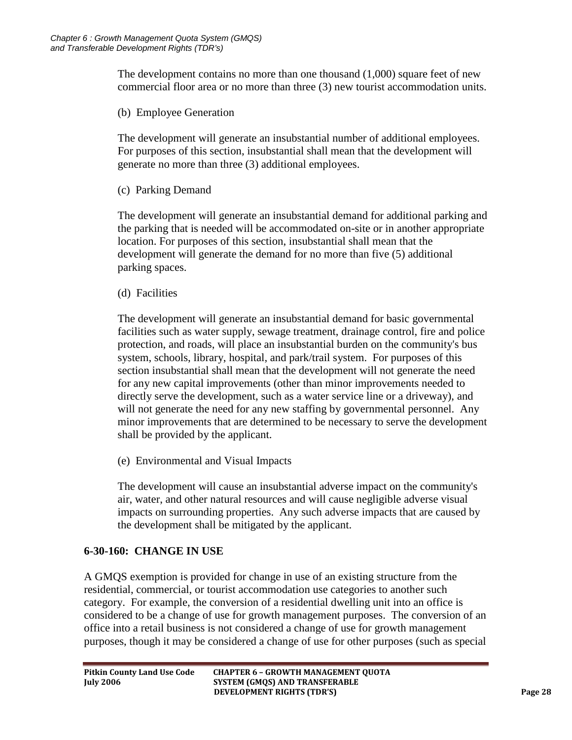The development contains no more than one thousand (1,000) square feet of new commercial floor area or no more than three (3) new tourist accommodation units.

## (b) Employee Generation

The development will generate an insubstantial number of additional employees. For purposes of this section, insubstantial shall mean that the development will generate no more than three (3) additional employees.

(c) Parking Demand

The development will generate an insubstantial demand for additional parking and the parking that is needed will be accommodated on-site or in another appropriate location. For purposes of this section, insubstantial shall mean that the development will generate the demand for no more than five (5) additional parking spaces.

(d) Facilities

The development will generate an insubstantial demand for basic governmental facilities such as water supply, sewage treatment, drainage control, fire and police protection, and roads, will place an insubstantial burden on the community's bus system, schools, library, hospital, and park/trail system. For purposes of this section insubstantial shall mean that the development will not generate the need for any new capital improvements (other than minor improvements needed to directly serve the development, such as a water service line or a driveway), and will not generate the need for any new staffing by governmental personnel. Any minor improvements that are determined to be necessary to serve the development shall be provided by the applicant.

(e) Environmental and Visual Impacts

The development will cause an insubstantial adverse impact on the community's air, water, and other natural resources and will cause negligible adverse visual impacts on surrounding properties. Any such adverse impacts that are caused by the development shall be mitigated by the applicant.

# <span id="page-27-0"></span>**6-30-160: CHANGE IN USE**

A GMQS exemption is provided for change in use of an existing structure from the residential, commercial, or tourist accommodation use categories to another such category. For example, the conversion of a residential dwelling unit into an office is considered to be a change of use for growth management purposes. The conversion of an office into a retail business is not considered a change of use for growth management purposes, though it may be considered a change of use for other purposes (such as special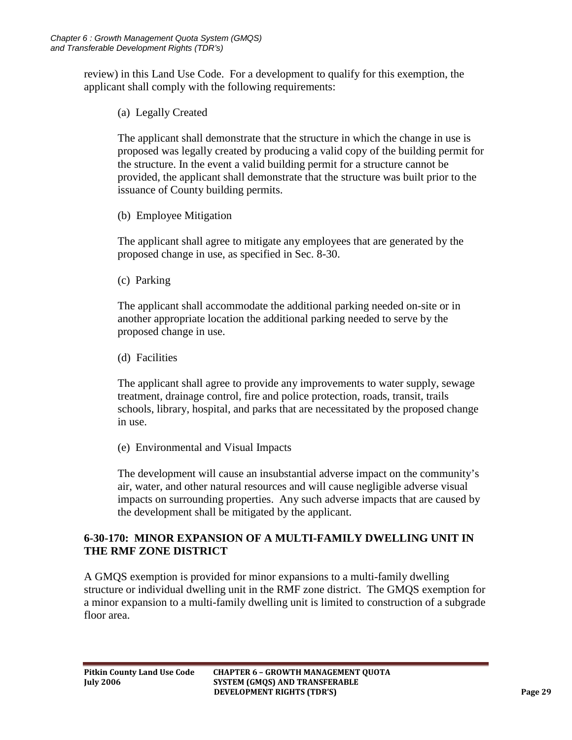review) in this Land Use Code. For a development to qualify for this exemption, the applicant shall comply with the following requirements:

(a) Legally Created

The applicant shall demonstrate that the structure in which the change in use is proposed was legally created by producing a valid copy of the building permit for the structure. In the event a valid building permit for a structure cannot be provided, the applicant shall demonstrate that the structure was built prior to the issuance of County building permits.

(b) Employee Mitigation

The applicant shall agree to mitigate any employees that are generated by the proposed change in use, as specified in Sec. 8-30.

(c) Parking

The applicant shall accommodate the additional parking needed on-site or in another appropriate location the additional parking needed to serve by the proposed change in use.

(d) Facilities

The applicant shall agree to provide any improvements to water supply, sewage treatment, drainage control, fire and police protection, roads, transit, trails schools, library, hospital, and parks that are necessitated by the proposed change in use.

(e) Environmental and Visual Impacts

The development will cause an insubstantial adverse impact on the community's air, water, and other natural resources and will cause negligible adverse visual impacts on surrounding properties. Any such adverse impacts that are caused by the development shall be mitigated by the applicant.

## **6-30-170: MINOR EXPANSION OF A MULTI-FAMILY DWELLING UNIT IN THE RMF ZONE DISTRICT**

A GMQS exemption is provided for minor expansions to a multi-family dwelling structure or individual dwelling unit in the RMF zone district. The GMQS exemption for a minor expansion to a multi-family dwelling unit is limited to construction of a subgrade floor area.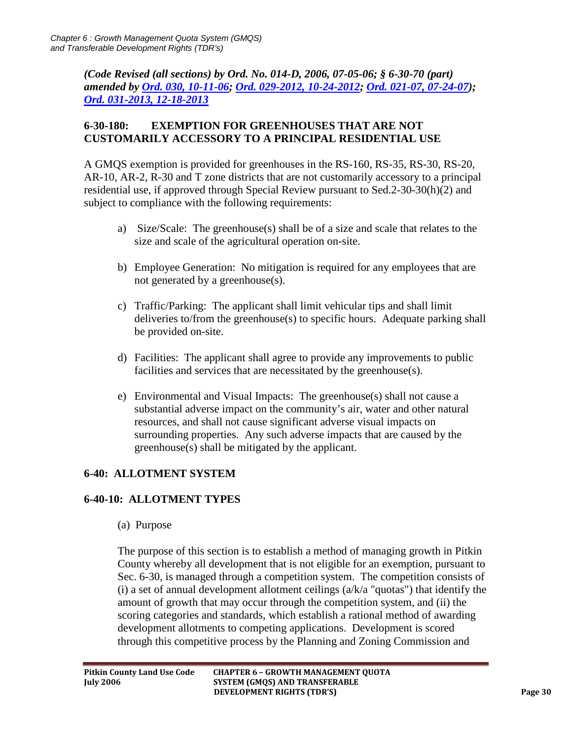*(Code Revised (all sections) by Ord. No. 014-D, 2006, 07-05-06; § 6-30-70 (part) amended by [Ord. 030, 10-11-06;](http://pitkincounty.com/DocumentCenter/View/8290) [Ord. 029-2012, 10-24-2012;](http://pitkincounty.com/DocumentCenter/View/12801) [Ord. 021-07, 07-24-07\)](http://pitkincounty.com/DocumentCenter/View/8248); [Ord. 031-2013, 12-18-2013](http://pitkincounty.com/DocumentCenter/View/8280)*

# **6-30-180: EXEMPTION FOR GREENHOUSES THAT ARE NOT CUSTOMARILY ACCESSORY TO A PRINCIPAL RESIDENTIAL USE**

A GMQS exemption is provided for greenhouses in the RS-160, RS-35, RS-30, RS-20, AR-10, AR-2, R-30 and T zone districts that are not customarily accessory to a principal residential use, if approved through Special Review pursuant to Sed.2-30-30(h)(2) and subject to compliance with the following requirements:

- a) Size/Scale: The greenhouse(s) shall be of a size and scale that relates to the size and scale of the agricultural operation on-site.
- b) Employee Generation: No mitigation is required for any employees that are not generated by a greenhouse(s).
- c) Traffic/Parking: The applicant shall limit vehicular tips and shall limit deliveries to/from the greenhouse(s) to specific hours. Adequate parking shall be provided on-site.
- d) Facilities: The applicant shall agree to provide any improvements to public facilities and services that are necessitated by the greenhouse(s).
- e) Environmental and Visual Impacts: The greenhouse(s) shall not cause a substantial adverse impact on the community's air, water and other natural resources, and shall not cause significant adverse visual impacts on surrounding properties. Any such adverse impacts that are caused by the greenhouse(s) shall be mitigated by the applicant.

# <span id="page-29-0"></span>**6-40: ALLOTMENT SYSTEM**

# <span id="page-29-1"></span>**6-40-10: ALLOTMENT TYPES**

## (a) Purpose

The purpose of this section is to establish a method of managing growth in Pitkin County whereby all development that is not eligible for an exemption, pursuant to Sec. 6-30, is managed through a competition system. The competition consists of  $(i)$  a set of annual development allotment ceilings  $(a/k/a$  "quotas") that identify the amount of growth that may occur through the competition system, and (ii) the scoring categories and standards, which establish a rational method of awarding development allotments to competing applications. Development is scored through this competitive process by the Planning and Zoning Commission and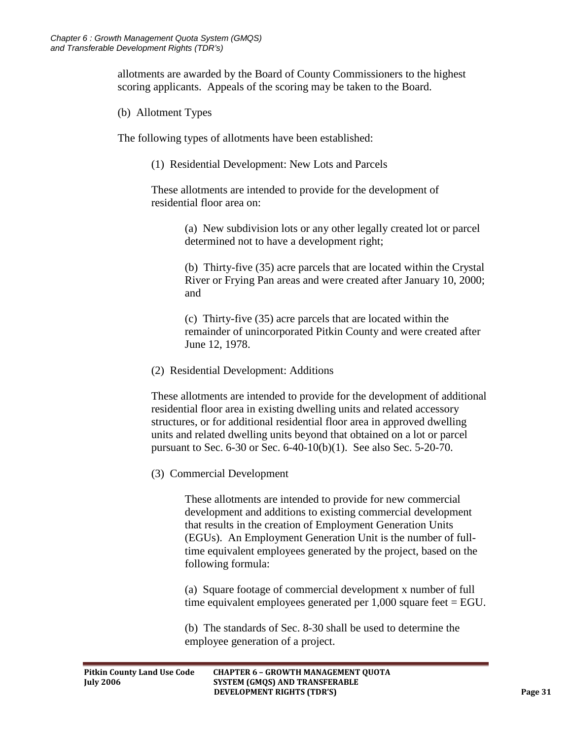allotments are awarded by the Board of County Commissioners to the highest scoring applicants. Appeals of the scoring may be taken to the Board.

(b) Allotment Types

The following types of allotments have been established:

(1) Residential Development: New Lots and Parcels

These allotments are intended to provide for the development of residential floor area on:

> (a) New subdivision lots or any other legally created lot or parcel determined not to have a development right;

(b) Thirty-five (35) acre parcels that are located within the Crystal River or Frying Pan areas and were created after January 10, 2000; and

(c) Thirty-five (35) acre parcels that are located within the remainder of unincorporated Pitkin County and were created after June 12, 1978.

(2) Residential Development: Additions

These allotments are intended to provide for the development of additional residential floor area in existing dwelling units and related accessory structures, or for additional residential floor area in approved dwelling units and related dwelling units beyond that obtained on a lot or parcel pursuant to Sec. 6-30 or Sec. 6-40-10(b)(1). See also Sec. 5-20-70.

(3) Commercial Development

These allotments are intended to provide for new commercial development and additions to existing commercial development that results in the creation of Employment Generation Units (EGUs). An Employment Generation Unit is the number of fulltime equivalent employees generated by the project, based on the following formula:

(a) Square footage of commercial development x number of full time equivalent employees generated per 1,000 square feet = EGU.

(b) The standards of Sec. 8-30 shall be used to determine the employee generation of a project.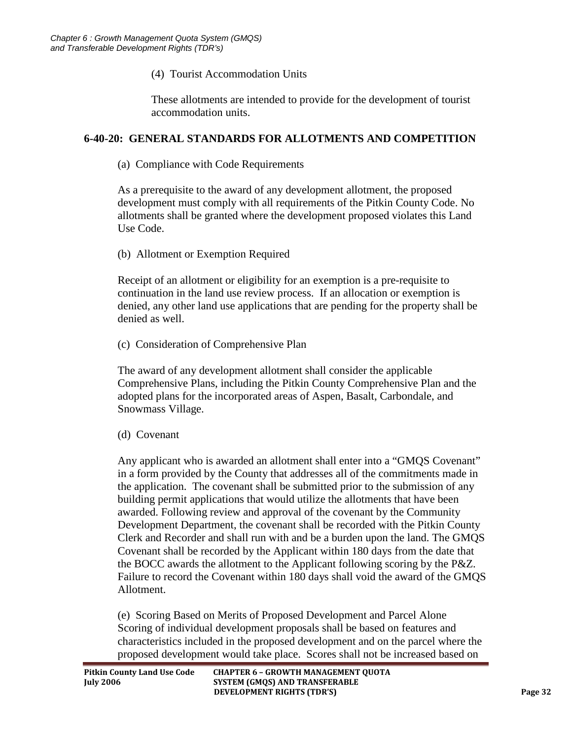(4) Tourist Accommodation Units

These allotments are intended to provide for the development of tourist accommodation units.

#### <span id="page-31-0"></span>**6-40-20: GENERAL STANDARDS FOR ALLOTMENTS AND COMPETITION**

#### (a) Compliance with Code Requirements

As a prerequisite to the award of any development allotment, the proposed development must comply with all requirements of the Pitkin County Code. No allotments shall be granted where the development proposed violates this Land Use Code.

#### (b) Allotment or Exemption Required

Receipt of an allotment or eligibility for an exemption is a pre-requisite to continuation in the land use review process. If an allocation or exemption is denied, any other land use applications that are pending for the property shall be denied as well.

#### (c) Consideration of Comprehensive Plan

The award of any development allotment shall consider the applicable Comprehensive Plans, including the Pitkin County Comprehensive Plan and the adopted plans for the incorporated areas of Aspen, Basalt, Carbondale, and Snowmass Village.

#### (d) Covenant

Any applicant who is awarded an allotment shall enter into a "GMQS Covenant" in a form provided by the County that addresses all of the commitments made in the application. The covenant shall be submitted prior to the submission of any building permit applications that would utilize the allotments that have been awarded. Following review and approval of the covenant by the Community Development Department, the covenant shall be recorded with the Pitkin County Clerk and Recorder and shall run with and be a burden upon the land. The GMQS Covenant shall be recorded by the Applicant within 180 days from the date that the BOCC awards the allotment to the Applicant following scoring by the P&Z. Failure to record the Covenant within 180 days shall void the award of the GMQS Allotment.

(e) Scoring Based on Merits of Proposed Development and Parcel Alone Scoring of individual development proposals shall be based on features and characteristics included in the proposed development and on the parcel where the proposed development would take place. Scores shall not be increased based on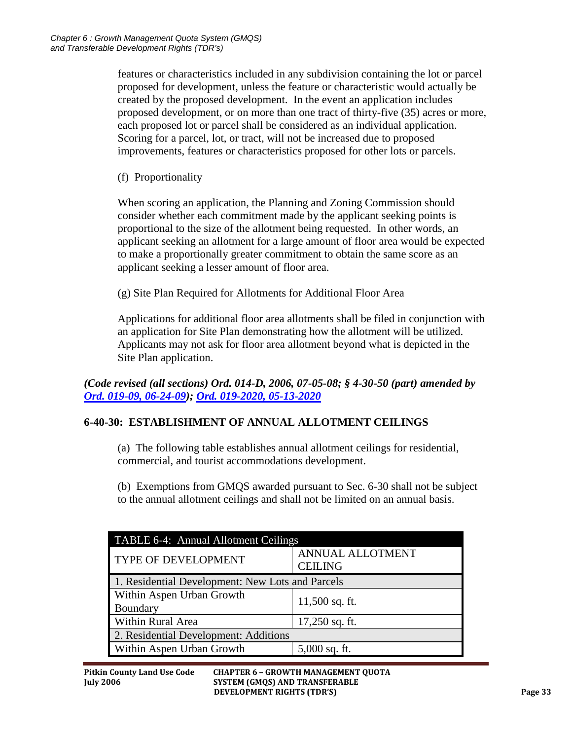features or characteristics included in any subdivision containing the lot or parcel proposed for development, unless the feature or characteristic would actually be created by the proposed development. In the event an application includes proposed development, or on more than one tract of thirty-five (35) acres or more, each proposed lot or parcel shall be considered as an individual application. Scoring for a parcel, lot, or tract, will not be increased due to proposed improvements, features or characteristics proposed for other lots or parcels.

(f) Proportionality

When scoring an application, the Planning and Zoning Commission should consider whether each commitment made by the applicant seeking points is proportional to the size of the allotment being requested. In other words, an applicant seeking an allotment for a large amount of floor area would be expected to make a proportionally greater commitment to obtain the same score as an applicant seeking a lesser amount of floor area.

(g) Site Plan Required for Allotments for Additional Floor Area

Applications for additional floor area allotments shall be filed in conjunction with an application for Site Plan demonstrating how the allotment will be utilized. Applicants may not ask for floor area allotment beyond what is depicted in the Site Plan application.

## *(Code revised (all sections) Ord. 014-D, 2006, 07-05-08; § 4-30-50 (part) amended by [Ord. 019-09, 06-24-09\)](http://pitkincounty.com/DocumentCenter/View/8261); [Ord. 019-2020, 05-13-2020](https://pitkincounty.com/DocumentCenter/View/26283/boccord0192020)*

# <span id="page-32-0"></span>**6-40-30: ESTABLISHMENT OF ANNUAL ALLOTMENT CEILINGS**

(a) The following table establishes annual allotment ceilings for residential, commercial, and tourist accommodations development.

(b) Exemptions from GMQS awarded pursuant to Sec. 6-30 shall not be subject to the annual allotment ceilings and shall not be limited on an annual basis.

| TABLE 6-4: Annual Allotment Ceilings             |                                    |  |
|--------------------------------------------------|------------------------------------|--|
| TYPE OF DEVELOPMENT                              | ANNUAL ALLOTMENT<br><b>CEILING</b> |  |
| 1. Residential Development: New Lots and Parcels |                                    |  |
| Within Aspen Urban Growth<br>Boundary            | 11,500 sq. ft.                     |  |
| Within Rural Area                                | $17,250$ sq. ft.                   |  |
| 2. Residential Development: Additions            |                                    |  |
| Within Aspen Urban Growth                        | $5,000$ sq. ft.                    |  |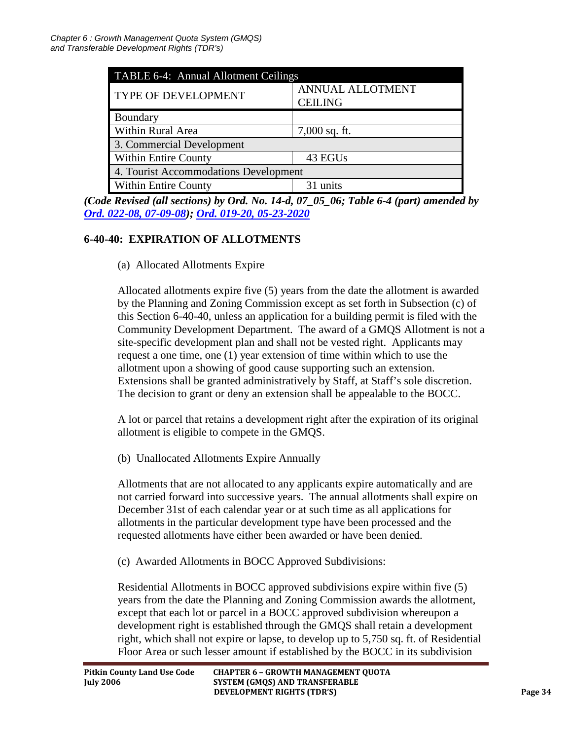| TABLE 6-4: Annual Allotment Ceilings  |                                    |  |  |  |
|---------------------------------------|------------------------------------|--|--|--|
| TYPE OF DEVELOPMENT                   | ANNUAL ALLOTMENT<br><b>CEILING</b> |  |  |  |
| Boundary                              |                                    |  |  |  |
| Within Rural Area                     | $7,000$ sq. ft.                    |  |  |  |
| 3. Commercial Development             |                                    |  |  |  |
| <b>Within Entire County</b>           | 43 EGUs                            |  |  |  |
| 4. Tourist Accommodations Development |                                    |  |  |  |
| <b>Within Entire County</b>           | 31 units                           |  |  |  |

*(Code Revised (all sections) by Ord. No. 14-d, 07\_05\_06; Table 6-4 (part) amended by [Ord. 022-08, 07-09-08\)](http://pitkincounty.com/DocumentCenter/View/8258); [Ord. 019-20, 05-23-2020](https://pitkincounty.com/DocumentCenter/View/26283/boccord0192020)*

## <span id="page-33-0"></span>**6-40-40: EXPIRATION OF ALLOTMENTS**

(a) Allocated Allotments Expire

Allocated allotments expire five (5) years from the date the allotment is awarded by the Planning and Zoning Commission except as set forth in Subsection (c) of this Section 6-40-40, unless an application for a building permit is filed with the Community Development Department. The award of a GMQS Allotment is not a site-specific development plan and shall not be vested right. Applicants may request a one time, one (1) year extension of time within which to use the allotment upon a showing of good cause supporting such an extension. Extensions shall be granted administratively by Staff, at Staff's sole discretion. The decision to grant or deny an extension shall be appealable to the BOCC.

A lot or parcel that retains a development right after the expiration of its original allotment is eligible to compete in the GMQS.

(b) Unallocated Allotments Expire Annually

Allotments that are not allocated to any applicants expire automatically and are not carried forward into successive years. The annual allotments shall expire on December 31st of each calendar year or at such time as all applications for allotments in the particular development type have been processed and the requested allotments have either been awarded or have been denied.

(c) Awarded Allotments in BOCC Approved Subdivisions:

Residential Allotments in BOCC approved subdivisions expire within five (5) years from the date the Planning and Zoning Commission awards the allotment, except that each lot or parcel in a BOCC approved subdivision whereupon a development right is established through the GMQS shall retain a development right, which shall not expire or lapse, to develop up to 5,750 sq. ft. of Residential Floor Area or such lesser amount if established by the BOCC in its subdivision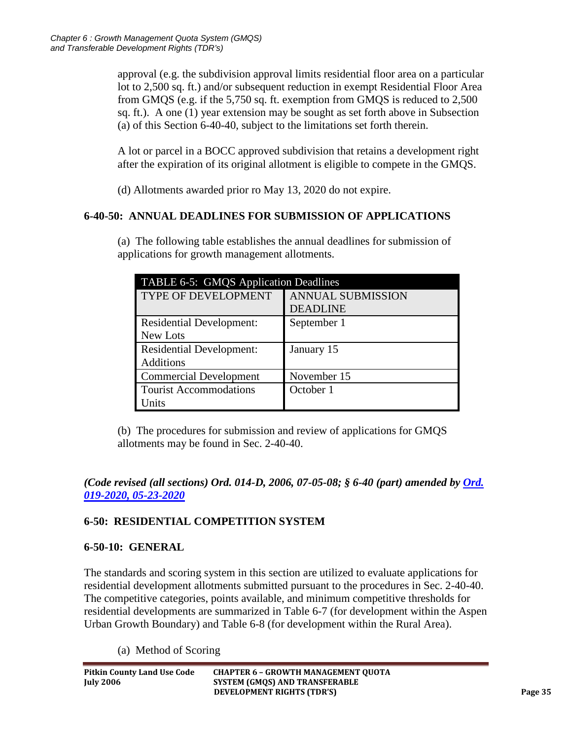approval (e.g. the subdivision approval limits residential floor area on a particular lot to 2,500 sq. ft.) and/or subsequent reduction in exempt Residential Floor Area from GMQS (e.g. if the 5,750 sq. ft. exemption from GMQS is reduced to 2,500 sq. ft.). A one (1) year extension may be sought as set forth above in Subsection (a) of this Section 6-40-40, subject to the limitations set forth therein.

A lot or parcel in a BOCC approved subdivision that retains a development right after the expiration of its original allotment is eligible to compete in the GMQS.

(d) Allotments awarded prior ro May 13, 2020 do not expire.

## <span id="page-34-0"></span>**6-40-50: ANNUAL DEADLINES FOR SUBMISSION OF APPLICATIONS**

(a) The following table establishes the annual deadlines for submission of applications for growth management allotments.

| TABLE 6-5: GMQS Application Deadlines |                          |  |
|---------------------------------------|--------------------------|--|
| TYPE OF DEVELOPMENT                   | <b>ANNUAL SUBMISSION</b> |  |
|                                       | <b>DEADLINE</b>          |  |
| <b>Residential Development:</b>       | September 1              |  |
| New Lots                              |                          |  |
| <b>Residential Development:</b>       | January 15               |  |
| Additions                             |                          |  |
| Commercial Development                | November 15              |  |
| <b>Tourist Accommodations</b>         | October 1                |  |
| Units                                 |                          |  |

(b) The procedures for submission and review of applications for GMQS allotments may be found in Sec. 2-40-40.

*(Code revised (all sections) Ord. 014-D, 2006, 07-05-08; § 6-40 (part) amended by [Ord.](https://pitkincounty.com/DocumentCenter/View/26283/boccord0192020)  [019-2020, 05-23-2020](https://pitkincounty.com/DocumentCenter/View/26283/boccord0192020)*

# <span id="page-34-1"></span>**6-50: RESIDENTIAL COMPETITION SYSTEM**

## <span id="page-34-2"></span>**6-50-10: GENERAL**

The standards and scoring system in this section are utilized to evaluate applications for residential development allotments submitted pursuant to the procedures in Sec. 2-40-40. The competitive categories, points available, and minimum competitive thresholds for residential developments are summarized in Table 6-7 (for development within the Aspen Urban Growth Boundary) and Table 6-8 (for development within the Rural Area).

(a) Method of Scoring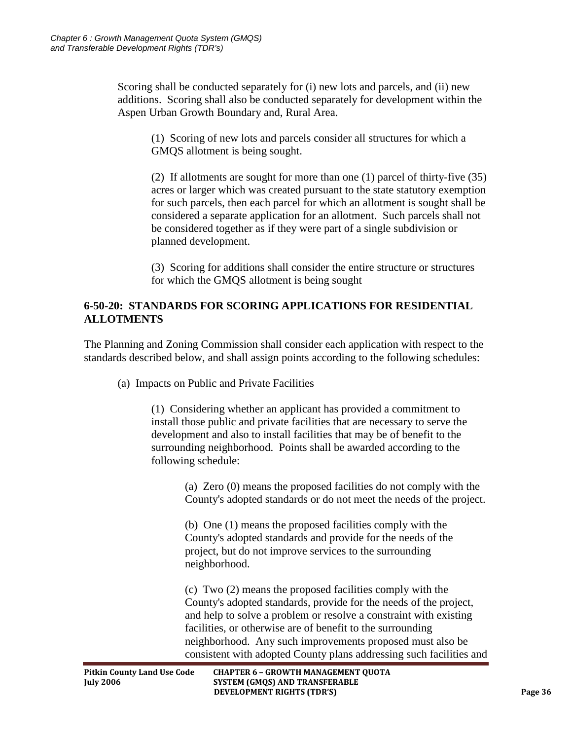Scoring shall be conducted separately for (i) new lots and parcels, and (ii) new additions. Scoring shall also be conducted separately for development within the Aspen Urban Growth Boundary and, Rural Area.

(1) Scoring of new lots and parcels consider all structures for which a GMQS allotment is being sought.

(2) If allotments are sought for more than one (1) parcel of thirty-five (35) acres or larger which was created pursuant to the state statutory exemption for such parcels, then each parcel for which an allotment is sought shall be considered a separate application for an allotment. Such parcels shall not be considered together as if they were part of a single subdivision or planned development.

(3) Scoring for additions shall consider the entire structure or structures for which the GMQS allotment is being sought

## <span id="page-35-0"></span>**6-50-20: STANDARDS FOR SCORING APPLICATIONS FOR RESIDENTIAL ALLOTMENTS**

The Planning and Zoning Commission shall consider each application with respect to the standards described below, and shall assign points according to the following schedules:

(a) Impacts on Public and Private Facilities

(1) Considering whether an applicant has provided a commitment to install those public and private facilities that are necessary to serve the development and also to install facilities that may be of benefit to the surrounding neighborhood. Points shall be awarded according to the following schedule:

> (a) Zero (0) means the proposed facilities do not comply with the County's adopted standards or do not meet the needs of the project.

(b) One (1) means the proposed facilities comply with the County's adopted standards and provide for the needs of the project, but do not improve services to the surrounding neighborhood.

(c) Two (2) means the proposed facilities comply with the County's adopted standards, provide for the needs of the project, and help to solve a problem or resolve a constraint with existing facilities, or otherwise are of benefit to the surrounding neighborhood. Any such improvements proposed must also be consistent with adopted County plans addressing such facilities and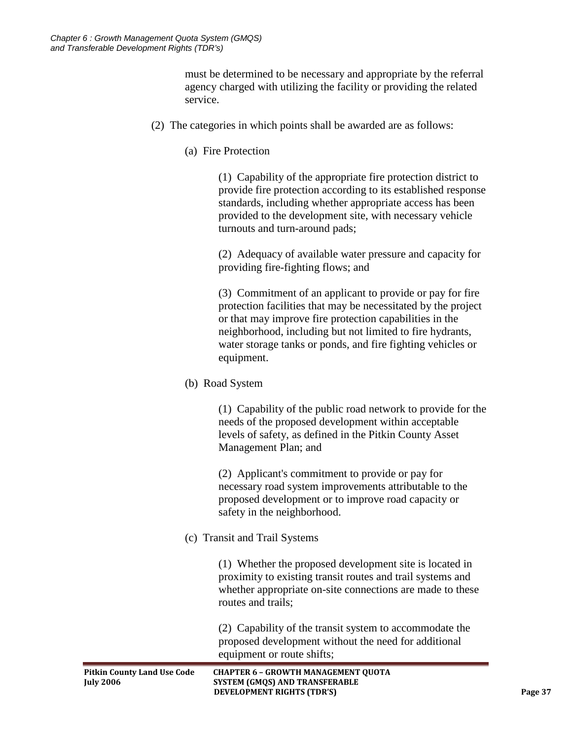must be determined to be necessary and appropriate by the referral agency charged with utilizing the facility or providing the related service.

- (2) The categories in which points shall be awarded are as follows:
	- (a) Fire Protection

(1) Capability of the appropriate fire protection district to provide fire protection according to its established response standards, including whether appropriate access has been provided to the development site, with necessary vehicle turnouts and turn-around pads;

(2) Adequacy of available water pressure and capacity for providing fire-fighting flows; and

(3) Commitment of an applicant to provide or pay for fire protection facilities that may be necessitated by the project or that may improve fire protection capabilities in the neighborhood, including but not limited to fire hydrants, water storage tanks or ponds, and fire fighting vehicles or equipment.

(b) Road System

(1) Capability of the public road network to provide for the needs of the proposed development within acceptable levels of safety, as defined in the Pitkin County Asset Management Plan; and

(2) Applicant's commitment to provide or pay for necessary road system improvements attributable to the proposed development or to improve road capacity or safety in the neighborhood.

(c) Transit and Trail Systems

(1) Whether the proposed development site is located in proximity to existing transit routes and trail systems and whether appropriate on-site connections are made to these routes and trails;

(2) Capability of the transit system to accommodate the proposed development without the need for additional equipment or route shifts;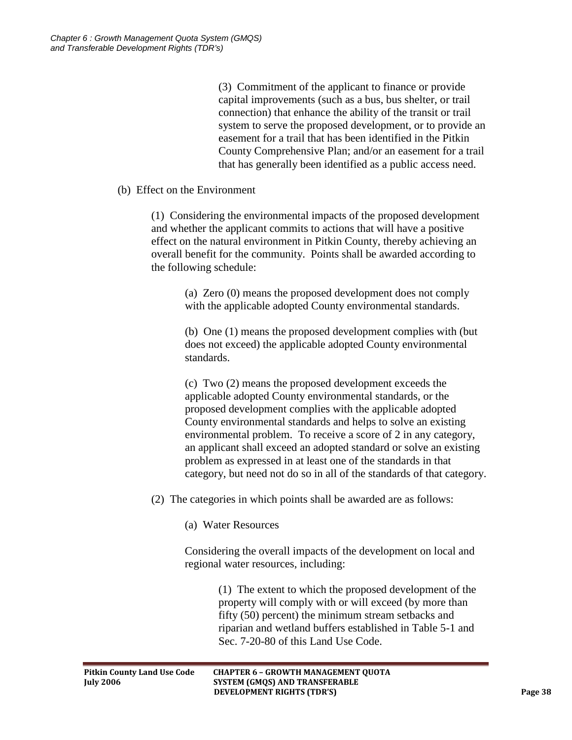(3) Commitment of the applicant to finance or provide capital improvements (such as a bus, bus shelter, or trail connection) that enhance the ability of the transit or trail system to serve the proposed development, or to provide an easement for a trail that has been identified in the Pitkin County Comprehensive Plan; and/or an easement for a trail that has generally been identified as a public access need.

(b) Effect on the Environment

(1) Considering the environmental impacts of the proposed development and whether the applicant commits to actions that will have a positive effect on the natural environment in Pitkin County, thereby achieving an overall benefit for the community. Points shall be awarded according to the following schedule:

> (a) Zero (0) means the proposed development does not comply with the applicable adopted County environmental standards.

(b) One (1) means the proposed development complies with (but does not exceed) the applicable adopted County environmental standards.

(c) Two (2) means the proposed development exceeds the applicable adopted County environmental standards, or the proposed development complies with the applicable adopted County environmental standards and helps to solve an existing environmental problem. To receive a score of 2 in any category, an applicant shall exceed an adopted standard or solve an existing problem as expressed in at least one of the standards in that category, but need not do so in all of the standards of that category.

- (2) The categories in which points shall be awarded are as follows:
	- (a) Water Resources

Considering the overall impacts of the development on local and regional water resources, including:

> (1) The extent to which the proposed development of the property will comply with or will exceed (by more than fifty (50) percent) the minimum stream setbacks and riparian and wetland buffers established in Table 5-1 and Sec. 7-20-80 of this Land Use Code.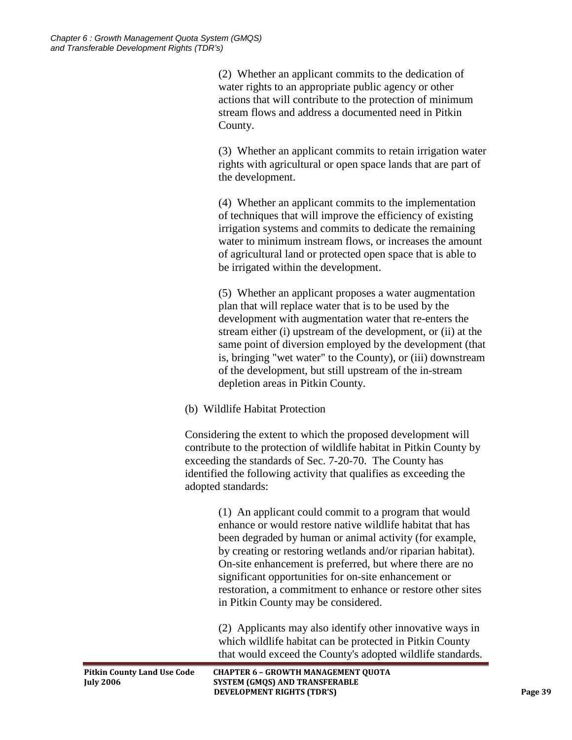(2) Whether an applicant commits to the dedication of water rights to an appropriate public agency or other actions that will contribute to the protection of minimum stream flows and address a documented need in Pitkin County.

(3) Whether an applicant commits to retain irrigation water rights with agricultural or open space lands that are part of the development.

(4) Whether an applicant commits to the implementation of techniques that will improve the efficiency of existing irrigation systems and commits to dedicate the remaining water to minimum instream flows, or increases the amount of agricultural land or protected open space that is able to be irrigated within the development.

(5) Whether an applicant proposes a water augmentation plan that will replace water that is to be used by the development with augmentation water that re-enters the stream either (i) upstream of the development, or (ii) at the same point of diversion employed by the development (that is, bringing "wet water" to the County), or (iii) downstream of the development, but still upstream of the in-stream depletion areas in Pitkin County.

(b) Wildlife Habitat Protection

Considering the extent to which the proposed development will contribute to the protection of wildlife habitat in Pitkin County by exceeding the standards of Sec. 7-20-70. The County has identified the following activity that qualifies as exceeding the adopted standards:

**Pitkin County Land Use Code CHAPTER 6 – GROWTH MANAGEMENT QUOTA SYSTEM (GMQS) AND TRANSFERABLE DEVELOPMENT RIGHTS (TDR'S) Page 39** (1) An applicant could commit to a program that would enhance or would restore native wildlife habitat that has been degraded by human or animal activity (for example, by creating or restoring wetlands and/or riparian habitat). On-site enhancement is preferred, but where there are no significant opportunities for on-site enhancement or restoration, a commitment to enhance or restore other sites in Pitkin County may be considered. (2) Applicants may also identify other innovative ways in which wildlife habitat can be protected in Pitkin County that would exceed the County's adopted wildlife standards.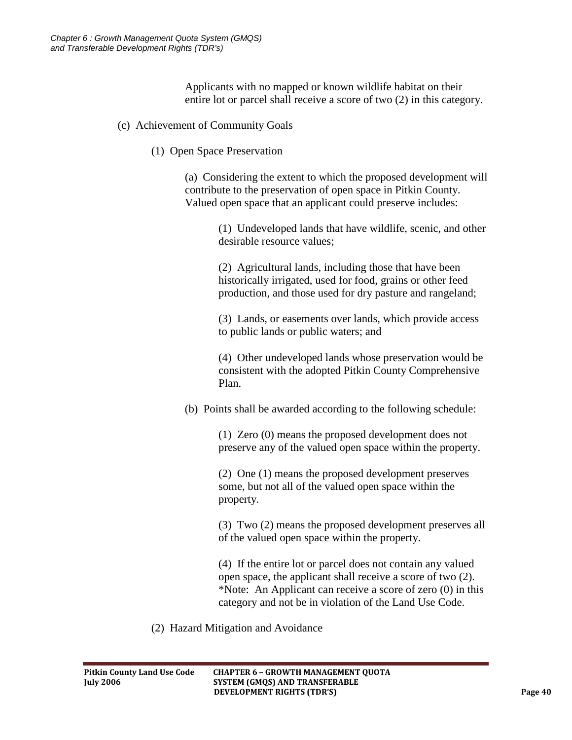Applicants with no mapped or known wildlife habitat on their entire lot or parcel shall receive a score of two (2) in this category.

#### (c) Achievement of Community Goals

(1) Open Space Preservation

(a) Considering the extent to which the proposed development will contribute to the preservation of open space in Pitkin County. Valued open space that an applicant could preserve includes:

> (1) Undeveloped lands that have wildlife, scenic, and other desirable resource values;

(2) Agricultural lands, including those that have been historically irrigated, used for food, grains or other feed production, and those used for dry pasture and rangeland;

(3) Lands, or easements over lands, which provide access to public lands or public waters; and

(4) Other undeveloped lands whose preservation would be consistent with the adopted Pitkin County Comprehensive Plan.

(b) Points shall be awarded according to the following schedule:

(1) Zero (0) means the proposed development does not preserve any of the valued open space within the property.

(2) One (1) means the proposed development preserves some, but not all of the valued open space within the property.

(3) Two (2) means the proposed development preserves all of the valued open space within the property.

(4) If the entire lot or parcel does not contain any valued open space, the applicant shall receive a score of two (2). \*Note: An Applicant can receive a score of zero (0) in this category and not be in violation of the Land Use Code.

(2) Hazard Mitigation and Avoidance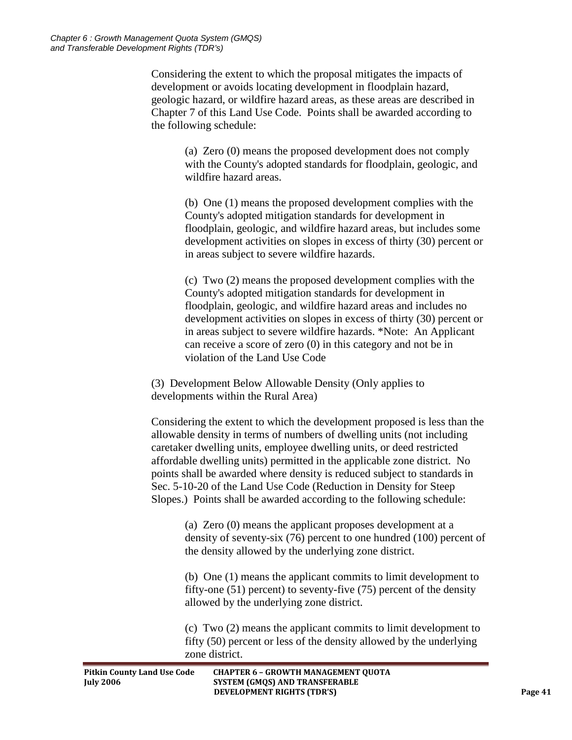Considering the extent to which the proposal mitigates the impacts of development or avoids locating development in floodplain hazard, geologic hazard, or wildfire hazard areas, as these areas are described in Chapter 7 of this Land Use Code. Points shall be awarded according to the following schedule:

> (a) Zero (0) means the proposed development does not comply with the County's adopted standards for floodplain, geologic, and wildfire hazard areas.

(b) One (1) means the proposed development complies with the County's adopted mitigation standards for development in floodplain, geologic, and wildfire hazard areas, but includes some development activities on slopes in excess of thirty (30) percent or in areas subject to severe wildfire hazards.

(c) Two (2) means the proposed development complies with the County's adopted mitigation standards for development in floodplain, geologic, and wildfire hazard areas and includes no development activities on slopes in excess of thirty (30) percent or in areas subject to severe wildfire hazards. \*Note: An Applicant can receive a score of zero (0) in this category and not be in violation of the Land Use Code

(3) Development Below Allowable Density (Only applies to developments within the Rural Area)

Considering the extent to which the development proposed is less than the allowable density in terms of numbers of dwelling units (not including caretaker dwelling units, employee dwelling units, or deed restricted affordable dwelling units) permitted in the applicable zone district. No points shall be awarded where density is reduced subject to standards in Sec. 5-10-20 of the Land Use Code (Reduction in Density for Steep Slopes.) Points shall be awarded according to the following schedule:

> (a) Zero (0) means the applicant proposes development at a density of seventy-six (76) percent to one hundred (100) percent of the density allowed by the underlying zone district.

(b) One (1) means the applicant commits to limit development to fifty-one (51) percent) to seventy-five (75) percent of the density allowed by the underlying zone district.

(c) Two (2) means the applicant commits to limit development to fifty (50) percent or less of the density allowed by the underlying zone district.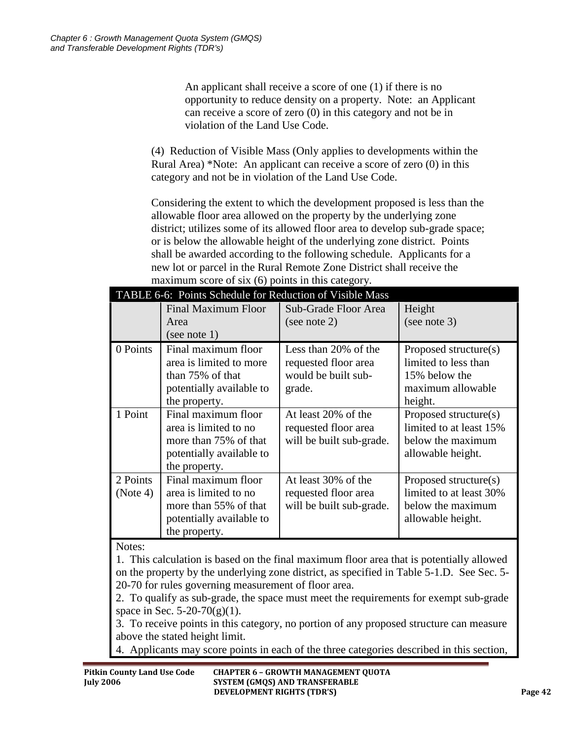An applicant shall receive a score of one (1) if there is no opportunity to reduce density on a property. Note: an Applicant can receive a score of zero (0) in this category and not be in violation of the Land Use Code.

(4) Reduction of Visible Mass (Only applies to developments within the Rural Area) \*Note: An applicant can receive a score of zero (0) in this category and not be in violation of the Land Use Code.

Considering the extent to which the development proposed is less than the allowable floor area allowed on the property by the underlying zone district; utilizes some of its allowed floor area to develop sub-grade space; or is below the allowable height of the underlying zone district. Points shall be awarded according to the following schedule. Applicants for a new lot or parcel in the Rural Remote Zone District shall receive the maximum score of six (6) points in this category.

| TABLE 6-6: Points Schedule for Reduction of Visible Mass |                          |                          |                         |  |
|----------------------------------------------------------|--------------------------|--------------------------|-------------------------|--|
|                                                          | Final Maximum Floor      | Sub-Grade Floor Area     | Height                  |  |
|                                                          | Area                     | (see note 2)             | (see note 3)            |  |
|                                                          | (see note 1)             |                          |                         |  |
| 0 Points                                                 | Final maximum floor      | Less than 20% of the     | Proposed structure(s)   |  |
|                                                          | area is limited to more  | requested floor area     | limited to less than    |  |
|                                                          | than 75% of that         | would be built sub-      | 15% below the           |  |
|                                                          | potentially available to | grade.                   | maximum allowable       |  |
|                                                          | the property.            |                          | height.                 |  |
| 1 Point                                                  | Final maximum floor      | At least 20% of the      | Proposed structure(s)   |  |
|                                                          | area is limited to no    | requested floor area     | limited to at least 15% |  |
|                                                          | more than 75% of that    | will be built sub-grade. | below the maximum       |  |
|                                                          | potentially available to |                          | allowable height.       |  |
|                                                          | the property.            |                          |                         |  |
| 2 Points                                                 | Final maximum floor      | At least 30% of the      | Proposed structure(s)   |  |
| (Note 4)                                                 | area is limited to no    | requested floor area     | limited to at least 30% |  |
|                                                          | more than 55% of that    | will be built sub-grade. | below the maximum       |  |
|                                                          | potentially available to |                          | allowable height.       |  |
|                                                          | the property.            |                          |                         |  |

Notes:

1. This calculation is based on the final maximum floor area that is potentially allowed on the property by the underlying zone district, as specified in Table 5-1.D. See Sec. 5- 20-70 for rules governing measurement of floor area.

2. To qualify as sub-grade, the space must meet the requirements for exempt sub-grade space in Sec.  $5-20-70(g)(1)$ .

3. To receive points in this category, no portion of any proposed structure can measure above the stated height limit.

4. Applicants may score points in each of the three categories described in this section,

| Pitkin County Land Use Code | <b>CHAPTER 6 - GROWTH MANAGEMENT OUOTA</b> |         |
|-----------------------------|--------------------------------------------|---------|
| July 2006                   | SYSTEM (GMQS) AND TRANSFERABLE             |         |
|                             | DEVELOPMENT RIGHTS (TDR'S)                 | Page 42 |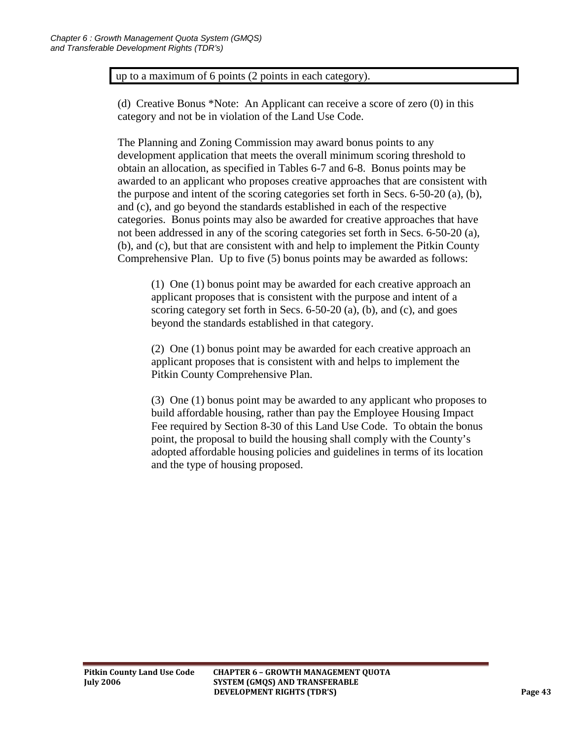## up to a maximum of 6 points (2 points in each category).

(d) Creative Bonus \*Note: An Applicant can receive a score of zero (0) in this category and not be in violation of the Land Use Code.

The Planning and Zoning Commission may award bonus points to any development application that meets the overall minimum scoring threshold to obtain an allocation, as specified in Tables 6-7 and 6-8. Bonus points may be awarded to an applicant who proposes creative approaches that are consistent with the purpose and intent of the scoring categories set forth in Secs. 6-50-20 (a), (b), and (c), and go beyond the standards established in each of the respective categories. Bonus points may also be awarded for creative approaches that have not been addressed in any of the scoring categories set forth in Secs. 6-50-20 (a), (b), and (c), but that are consistent with and help to implement the Pitkin County Comprehensive Plan. Up to five (5) bonus points may be awarded as follows:

(1) One (1) bonus point may be awarded for each creative approach an applicant proposes that is consistent with the purpose and intent of a scoring category set forth in Secs. 6-50-20 (a), (b), and (c), and goes beyond the standards established in that category.

(2) One (1) bonus point may be awarded for each creative approach an applicant proposes that is consistent with and helps to implement the Pitkin County Comprehensive Plan.

(3) One (1) bonus point may be awarded to any applicant who proposes to build affordable housing, rather than pay the Employee Housing Impact Fee required by Section 8-30 of this Land Use Code. To obtain the bonus point, the proposal to build the housing shall comply with the County's adopted affordable housing policies and guidelines in terms of its location and the type of housing proposed.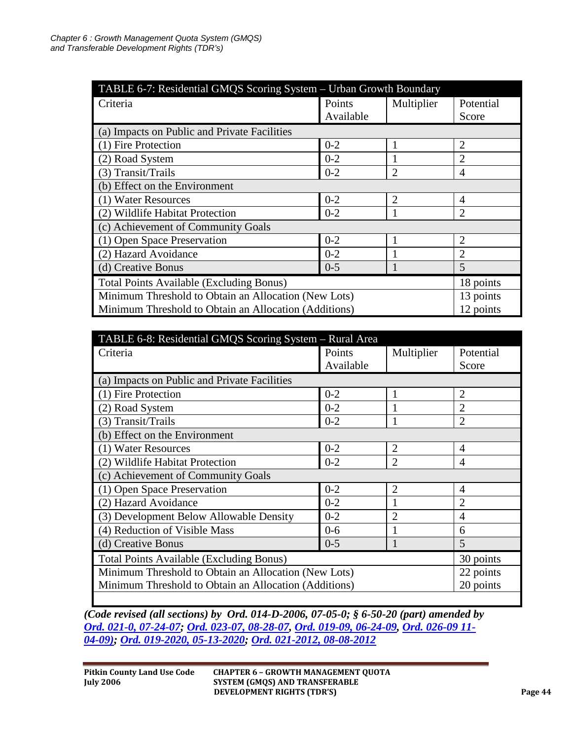| TABLE 6-7: Residential GMQS Scoring System - Urban Growth Boundary |           |                |                |
|--------------------------------------------------------------------|-----------|----------------|----------------|
| Criteria                                                           | Points    | Multiplier     | Potential      |
|                                                                    | Available |                | Score          |
| (a) Impacts on Public and Private Facilities                       |           |                |                |
| (1) Fire Protection                                                | $0 - 2$   |                | $\overline{2}$ |
| (2) Road System                                                    | $0 - 2$   |                | $\overline{2}$ |
| (3) Transit/Trails                                                 | $0 - 2$   | $\overline{2}$ | $\overline{4}$ |
| (b) Effect on the Environment                                      |           |                |                |
| (1) Water Resources                                                | $0 - 2$   | $\overline{2}$ | 4              |
| (2) Wildlife Habitat Protection                                    | $0 - 2$   |                | $\overline{2}$ |
| (c) Achievement of Community Goals                                 |           |                |                |
| (1) Open Space Preservation                                        | $0 - 2$   |                | $\overline{2}$ |
| (2) Hazard Avoidance                                               | $0 - 2$   |                | $\overline{2}$ |
| (d) Creative Bonus                                                 | $0 - 5$   |                | 5              |
| <b>Total Points Available (Excluding Bonus)</b>                    |           |                | 18 points      |
| Minimum Threshold to Obtain an Allocation (New Lots)               |           |                | 13 points      |
| Minimum Threshold to Obtain an Allocation (Additions)              |           |                | 12 points      |

| TABLE 6-8: Residential GMQS Scoring System - Rural Area |           |                |                |
|---------------------------------------------------------|-----------|----------------|----------------|
| Criteria                                                | Points    | Multiplier     | Potential      |
|                                                         | Available |                | Score          |
| (a) Impacts on Public and Private Facilities            |           |                |                |
| (1) Fire Protection                                     | $0 - 2$   | 1              | $\overline{2}$ |
| (2) Road System                                         | $0 - 2$   |                | $\overline{2}$ |
| (3) Transit/Trails                                      | $0 - 2$   |                | $\overline{2}$ |
| (b) Effect on the Environment                           |           |                |                |
| (1) Water Resources                                     | $0 - 2$   | $\overline{2}$ | 4              |
| (2) Wildlife Habitat Protection                         | $0 - 2$   | $\overline{2}$ | 4              |
| (c) Achievement of Community Goals                      |           |                |                |
| (1) Open Space Preservation                             | $0 - 2$   | $\overline{2}$ | 4              |
| (2) Hazard Avoidance                                    | $0 - 2$   | 1              | $\overline{2}$ |
| (3) Development Below Allowable Density                 | $0 - 2$   | $\overline{2}$ | 4              |
| (4) Reduction of Visible Mass                           | $0 - 6$   |                | 6              |
| (d) Creative Bonus                                      | $0 - 5$   |                | 5              |
| <b>Total Points Available (Excluding Bonus)</b>         |           |                | 30 points      |
| Minimum Threshold to Obtain an Allocation (New Lots)    |           |                | 22 points      |
| Minimum Threshold to Obtain an Allocation (Additions)   |           |                | 20 points      |
|                                                         |           |                |                |

*(Code revised (all sections) by Ord. 014-D-2006, 07-05-0; § 6-50-20 (part) amended by [Ord. 021-0, 07-24-07;](http://pitkincounty.com/DocumentCenter/View/8248) [Ord. 023-07, 08-28-07,](http://pitkincounty.com/DocumentCenter/View/8249) [Ord. 019-09, 06-24-09,](http://pitkincounty.com/DocumentCenter/View/8261) [Ord. 026-09](http://pitkincounty.com/DocumentCenter/View/8262) 11- [04-09\);](http://pitkincounty.com/DocumentCenter/View/8262) [Ord. 019-2020, 05-13-2020;](https://pitkincounty.com/DocumentCenter/View/26283/boccord0192020) [Ord. 021-2012, 08-08-2012](http://pitkincounty.com/DocumentCenter/View/8270)*

**Pitkin County Land Use Code CHAPTER 6 – GROWTH MANAGEMENT QUOTA SYSTEM (GMQS) AND TRANSFERABLE DEVELOPMENT RIGHTS (TDR'S) Page 44**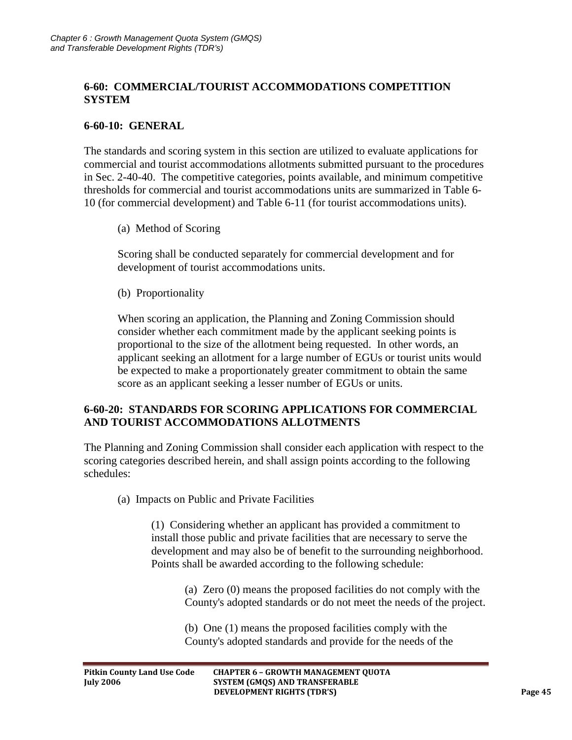## <span id="page-44-0"></span>**6-60: COMMERCIAL/TOURIST ACCOMMODATIONS COMPETITION SYSTEM**

#### <span id="page-44-1"></span>**6-60-10: GENERAL**

The standards and scoring system in this section are utilized to evaluate applications for commercial and tourist accommodations allotments submitted pursuant to the procedures in Sec. 2-40-40. The competitive categories, points available, and minimum competitive thresholds for commercial and tourist accommodations units are summarized in Table 6- 10 (for commercial development) and Table 6-11 (for tourist accommodations units).

(a) Method of Scoring

Scoring shall be conducted separately for commercial development and for development of tourist accommodations units.

(b) Proportionality

When scoring an application, the Planning and Zoning Commission should consider whether each commitment made by the applicant seeking points is proportional to the size of the allotment being requested. In other words, an applicant seeking an allotment for a large number of EGUs or tourist units would be expected to make a proportionately greater commitment to obtain the same score as an applicant seeking a lesser number of EGUs or units.

## <span id="page-44-2"></span>**6-60-20: STANDARDS FOR SCORING APPLICATIONS FOR COMMERCIAL AND TOURIST ACCOMMODATIONS ALLOTMENTS**

The Planning and Zoning Commission shall consider each application with respect to the scoring categories described herein, and shall assign points according to the following schedules:

(a) Impacts on Public and Private Facilities

(1) Considering whether an applicant has provided a commitment to install those public and private facilities that are necessary to serve the development and may also be of benefit to the surrounding neighborhood. Points shall be awarded according to the following schedule:

(a) Zero (0) means the proposed facilities do not comply with the County's adopted standards or do not meet the needs of the project.

(b) One (1) means the proposed facilities comply with the County's adopted standards and provide for the needs of the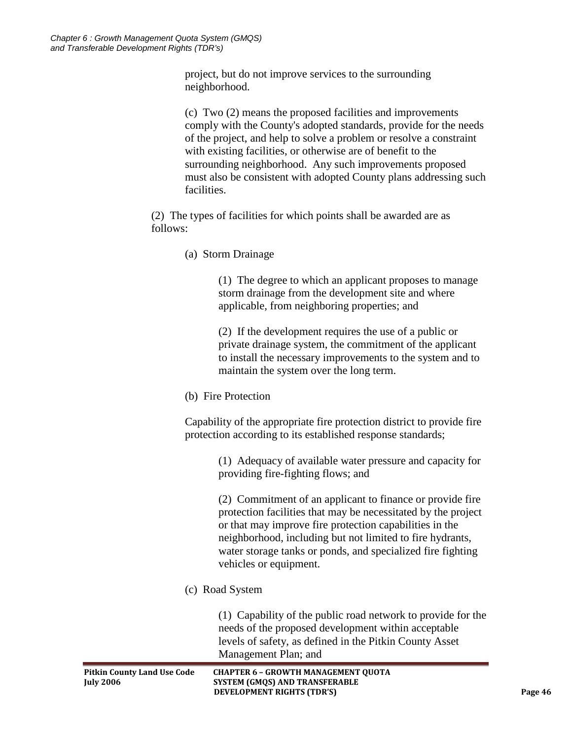project, but do not improve services to the surrounding neighborhood.

(c) Two (2) means the proposed facilities and improvements comply with the County's adopted standards, provide for the needs of the project, and help to solve a problem or resolve a constraint with existing facilities, or otherwise are of benefit to the surrounding neighborhood. Any such improvements proposed must also be consistent with adopted County plans addressing such facilities.

(2) The types of facilities for which points shall be awarded are as follows:

(a) Storm Drainage

(1) The degree to which an applicant proposes to manage storm drainage from the development site and where applicable, from neighboring properties; and

(2) If the development requires the use of a public or private drainage system, the commitment of the applicant to install the necessary improvements to the system and to maintain the system over the long term.

(b) Fire Protection

Capability of the appropriate fire protection district to provide fire protection according to its established response standards;

> (1) Adequacy of available water pressure and capacity for providing fire-fighting flows; and

> (2) Commitment of an applicant to finance or provide fire protection facilities that may be necessitated by the project or that may improve fire protection capabilities in the neighborhood, including but not limited to fire hydrants, water storage tanks or ponds, and specialized fire fighting vehicles or equipment.

(c) Road System

(1) Capability of the public road network to provide for the needs of the proposed development within acceptable levels of safety, as defined in the Pitkin County Asset Management Plan; and

| <b>Pitkin County Land Use Code</b> | <b>CHAPTER 6 - GROWTH MANAGEMENT OUOTA</b> |         |
|------------------------------------|--------------------------------------------|---------|
| <b>July 2006</b>                   | SYSTEM (GMQS) AND TRANSFERABLE             |         |
|                                    | DEVELOPMENT RIGHTS (TDR'S)                 | Page 46 |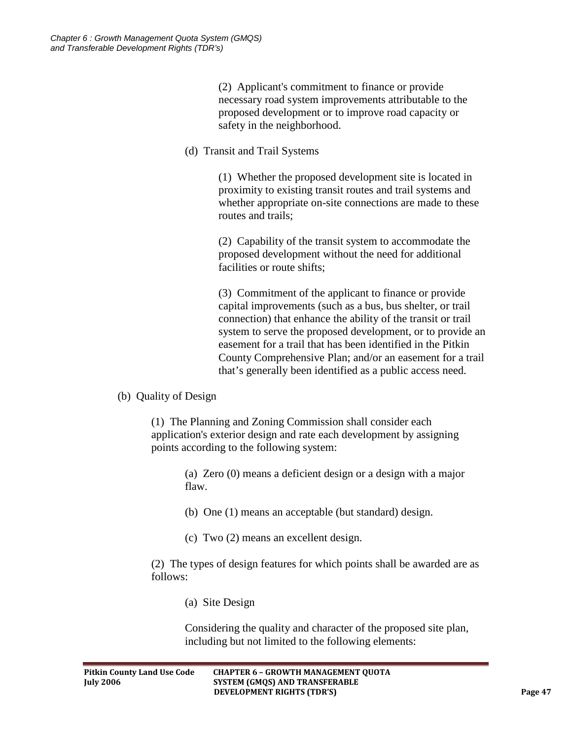(2) Applicant's commitment to finance or provide necessary road system improvements attributable to the proposed development or to improve road capacity or safety in the neighborhood.

(d) Transit and Trail Systems

(1) Whether the proposed development site is located in proximity to existing transit routes and trail systems and whether appropriate on-site connections are made to these routes and trails;

(2) Capability of the transit system to accommodate the proposed development without the need for additional facilities or route shifts;

(3) Commitment of the applicant to finance or provide capital improvements (such as a bus, bus shelter, or trail connection) that enhance the ability of the transit or trail system to serve the proposed development, or to provide an easement for a trail that has been identified in the Pitkin County Comprehensive Plan; and/or an easement for a trail that's generally been identified as a public access need.

# (b) Quality of Design

(1) The Planning and Zoning Commission shall consider each application's exterior design and rate each development by assigning points according to the following system:

> (a) Zero (0) means a deficient design or a design with a major flaw.

- (b) One (1) means an acceptable (but standard) design.
- (c) Two (2) means an excellent design.

(2) The types of design features for which points shall be awarded are as follows:

(a) Site Design

Considering the quality and character of the proposed site plan, including but not limited to the following elements: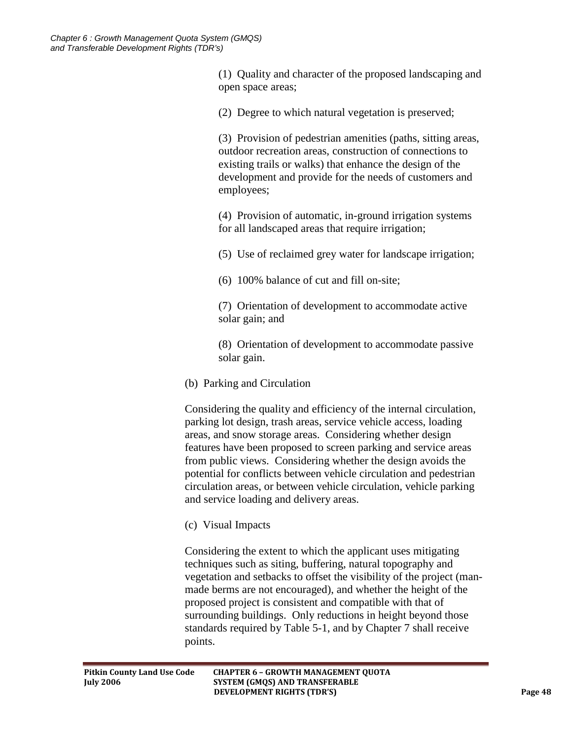(1) Quality and character of the proposed landscaping and open space areas;

(2) Degree to which natural vegetation is preserved;

(3) Provision of pedestrian amenities (paths, sitting areas, outdoor recreation areas, construction of connections to existing trails or walks) that enhance the design of the development and provide for the needs of customers and employees;

(4) Provision of automatic, in-ground irrigation systems for all landscaped areas that require irrigation;

- (5) Use of reclaimed grey water for landscape irrigation;
- (6) 100% balance of cut and fill on-site;

(7) Orientation of development to accommodate active solar gain; and

(8) Orientation of development to accommodate passive solar gain.

(b) Parking and Circulation

Considering the quality and efficiency of the internal circulation, parking lot design, trash areas, service vehicle access, loading areas, and snow storage areas. Considering whether design features have been proposed to screen parking and service areas from public views. Considering whether the design avoids the potential for conflicts between vehicle circulation and pedestrian circulation areas, or between vehicle circulation, vehicle parking and service loading and delivery areas.

(c) Visual Impacts

Considering the extent to which the applicant uses mitigating techniques such as siting, buffering, natural topography and vegetation and setbacks to offset the visibility of the project (manmade berms are not encouraged), and whether the height of the proposed project is consistent and compatible with that of surrounding buildings. Only reductions in height beyond those standards required by Table 5-1, and by Chapter 7 shall receive points.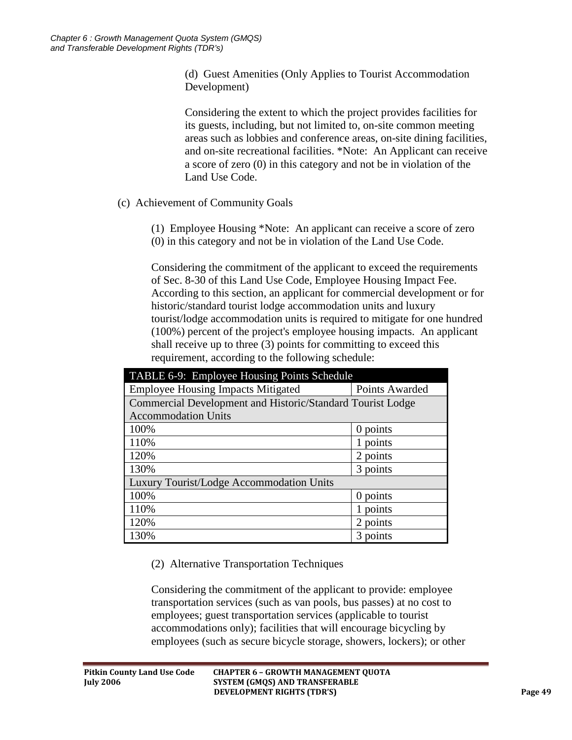(d) Guest Amenities (Only Applies to Tourist Accommodation Development)

Considering the extent to which the project provides facilities for its guests, including, but not limited to, on-site common meeting areas such as lobbies and conference areas, on-site dining facilities, and on-site recreational facilities. \*Note: An Applicant can receive a score of zero (0) in this category and not be in violation of the Land Use Code.

(c) Achievement of Community Goals

- (1) Employee Housing \*Note: An applicant can receive a score of zero
- (0) in this category and not be in violation of the Land Use Code.

Considering the commitment of the applicant to exceed the requirements of Sec. 8-30 of this Land Use Code, Employee Housing Impact Fee. According to this section, an applicant for commercial development or for historic/standard tourist lodge accommodation units and luxury tourist/lodge accommodation units is required to mitigate for one hundred (100%) percent of the project's employee housing impacts. An applicant shall receive up to three (3) points for committing to exceed this requirement, according to the following schedule:

| TABLE 6-9: Employee Housing Points Schedule                 |            |  |  |  |
|-------------------------------------------------------------|------------|--|--|--|
| <b>Employee Housing Impacts Mitigated</b><br>Points Awarded |            |  |  |  |
| Commercial Development and Historic/Standard Tourist Lodge  |            |  |  |  |
| <b>Accommodation Units</b>                                  |            |  |  |  |
| 100%                                                        | $0$ points |  |  |  |
| 110%                                                        | 1 points   |  |  |  |
| 120%                                                        | 2 points   |  |  |  |
| 130%                                                        | 3 points   |  |  |  |
| Luxury Tourist/Lodge Accommodation Units                    |            |  |  |  |
| 100%                                                        | points     |  |  |  |
| 110%                                                        | points     |  |  |  |
| 120%                                                        | 2 points   |  |  |  |
| 130%                                                        | points     |  |  |  |

(2) Alternative Transportation Techniques

Considering the commitment of the applicant to provide: employee transportation services (such as van pools, bus passes) at no cost to employees; guest transportation services (applicable to tourist accommodations only); facilities that will encourage bicycling by employees (such as secure bicycle storage, showers, lockers); or other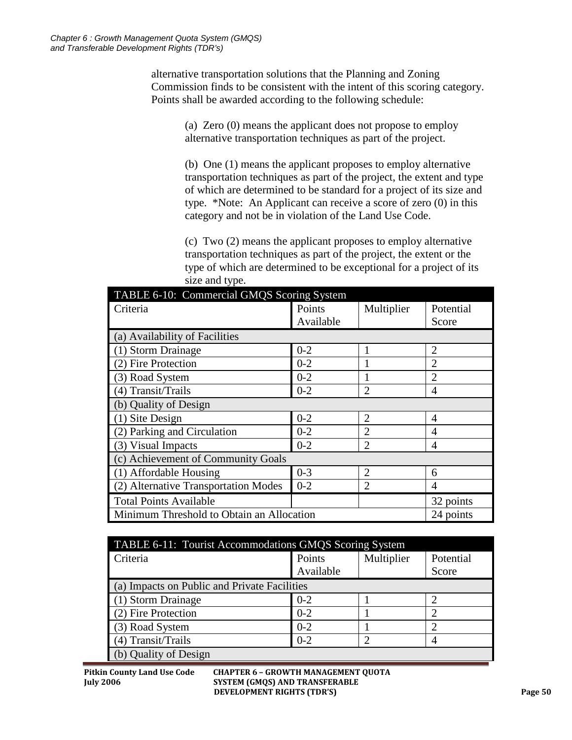alternative transportation solutions that the Planning and Zoning Commission finds to be consistent with the intent of this scoring category. Points shall be awarded according to the following schedule:

> (a) Zero (0) means the applicant does not propose to employ alternative transportation techniques as part of the project.

(b) One (1) means the applicant proposes to employ alternative transportation techniques as part of the project, the extent and type of which are determined to be standard for a project of its size and type. \*Note: An Applicant can receive a score of zero (0) in this category and not be in violation of the Land Use Code.

(c) Two (2) means the applicant proposes to employ alternative transportation techniques as part of the project, the extent or the type of which are determined to be exceptional for a project of its size and type.

| TABLE 6-10: Commercial GMQS Scoring System             |           |                |                |
|--------------------------------------------------------|-----------|----------------|----------------|
| Criteria                                               | Points    | Multiplier     | Potential      |
|                                                        | Available |                | Score          |
| (a) Availability of Facilities                         |           |                |                |
| (1) Storm Drainage                                     | $0 - 2$   | 1              | $\overline{2}$ |
| (2) Fire Protection                                    | $0 - 2$   |                | $\overline{2}$ |
| (3) Road System                                        | $0 - 2$   | 1              | $\overline{2}$ |
| (4) Transit/Trails                                     | $0 - 2$   | $\overline{2}$ | 4              |
| (b) Quality of Design                                  |           |                |                |
| (1) Site Design                                        | $0 - 2$   | $\overline{2}$ | $\overline{A}$ |
| (2) Parking and Circulation                            | $0 - 2$   | $\overline{2}$ | 4              |
| (3) Visual Impacts                                     | $0 - 2$   | $\overline{2}$ | 4              |
| (c) Achievement of Community Goals                     |           |                |                |
| (1) Affordable Housing                                 | $0 - 3$   | $\overline{2}$ | 6              |
| (2) Alternative Transportation Modes                   | $0 - 2$   | $\overline{2}$ | 4              |
| <b>Total Points Available</b>                          |           |                | 32 points      |
| Minimum Threshold to Obtain an Allocation<br>24 points |           |                |                |

| TABLE 6-11: Tourist Accommodations GMQS Scoring System |           |            |           |
|--------------------------------------------------------|-----------|------------|-----------|
| Criteria                                               | Points    | Multiplier | Potential |
|                                                        | Available |            | Score     |
| (a) Impacts on Public and Private Facilities           |           |            |           |
| (1) Storm Drainage                                     | $0 - 2$   |            |           |
| (2) Fire Protection                                    | $0 - 2$   |            |           |
| (3) Road System                                        | $0 - 2$   |            |           |
| (4) Transit/Trails                                     | $0 - 2$   |            |           |
| (b) Quality of Design                                  |           |            |           |

**Pitkin County Land Use Code CHAPTER 6 – GROWTH MANAGEMENT QUOTA SYSTEM (GMQS) AND TRANSFERABLE DEVELOPMENT RIGHTS (TDR'S) Page 50**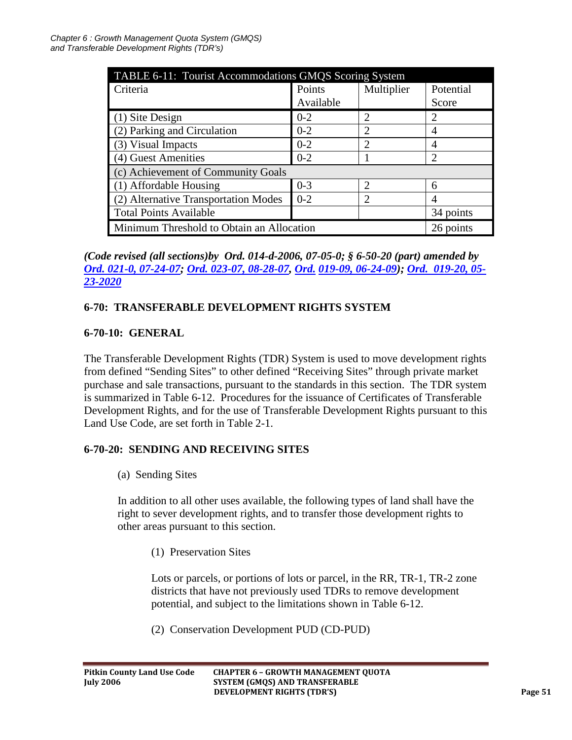| TABLE 6-11: Tourist Accommodations GMQS Scoring System |           |                |                |
|--------------------------------------------------------|-----------|----------------|----------------|
| Criteria                                               | Points    | Multiplier     | Potential      |
|                                                        | Available |                | Score          |
| (1) Site Design                                        | $0 - 2$   |                | 2              |
| (2) Parking and Circulation                            | $0 - 2$   | $\overline{2}$ | 4              |
| (3) Visual Impacts                                     | $0 - 2$   | $\overline{2}$ | 4              |
| (4) Guest Amenities                                    | $0 - 2$   |                | $\overline{2}$ |
| (c) Achievement of Community Goals                     |           |                |                |
| (1) Affordable Housing                                 | $0 - 3$   | $\mathcal{D}$  | 6              |
| (2) Alternative Transportation Modes                   | $0 - 2$   | 2              | 4              |
| <b>Total Points Available</b>                          |           |                | 34 points      |
| Minimum Threshold to Obtain an Allocation<br>26 points |           |                |                |

## *(Code revised (all sections)by Ord. 014-d-2006, 07-05-0; § 6-50-20 (part) amended by [Ord. 021-0, 07-24-07;](http://pitkincounty.com/DocumentCenter/View/8248) [Ord. 023-07, 08-28-07,](http://pitkincounty.com/DocumentCenter/View/8249) [Ord.](http://pitkincounty.com/DocumentCenter/View/8261) [019-09, 06-24-09\)](http://pitkincounty.com/DocumentCenter/View/8261); [Ord. 019-20, 05-](https://pitkincounty.com/DocumentCenter/View/26283/boccord0192020) [23-2020](https://pitkincounty.com/DocumentCenter/View/26283/boccord0192020)*

## <span id="page-50-0"></span>**6-70: TRANSFERABLE DEVELOPMENT RIGHTS SYSTEM**

#### <span id="page-50-1"></span>**6-70-10: GENERAL**

The Transferable Development Rights (TDR) System is used to move development rights from defined "Sending Sites" to other defined "Receiving Sites" through private market purchase and sale transactions, pursuant to the standards in this section. The TDR system is summarized in Table 6-12. Procedures for the issuance of Certificates of Transferable Development Rights, and for the use of Transferable Development Rights pursuant to this Land Use Code, are set forth in Table 2-1.

## <span id="page-50-2"></span>**6-70-20: SENDING AND RECEIVING SITES**

(a) Sending Sites

In addition to all other uses available, the following types of land shall have the right to sever development rights, and to transfer those development rights to other areas pursuant to this section.

(1) Preservation Sites

Lots or parcels, or portions of lots or parcel, in the RR, TR-1, TR-2 zone districts that have not previously used TDRs to remove development potential, and subject to the limitations shown in Table 6-12.

(2) Conservation Development PUD (CD-PUD)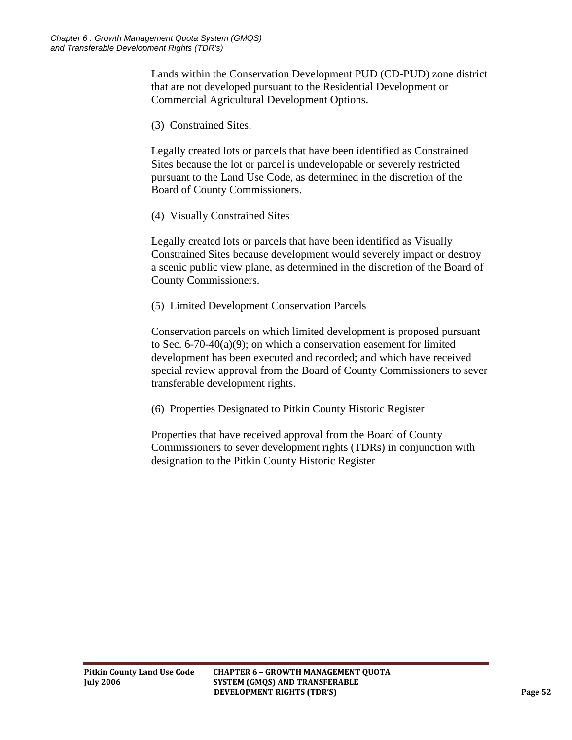Lands within the Conservation Development PUD (CD-PUD) zone district that are not developed pursuant to the Residential Development or Commercial Agricultural Development Options.

(3) Constrained Sites.

Legally created lots or parcels that have been identified as Constrained Sites because the lot or parcel is undevelopable or severely restricted pursuant to the Land Use Code, as determined in the discretion of the Board of County Commissioners.

(4) Visually Constrained Sites

Legally created lots or parcels that have been identified as Visually Constrained Sites because development would severely impact or destroy a scenic public view plane, as determined in the discretion of the Board of County Commissioners.

(5) Limited Development Conservation Parcels

Conservation parcels on which limited development is proposed pursuant to Sec. 6-70-40(a)(9); on which a conservation easement for limited development has been executed and recorded; and which have received special review approval from the Board of County Commissioners to sever transferable development rights.

(6) Properties Designated to Pitkin County Historic Register

Properties that have received approval from the Board of County Commissioners to sever development rights (TDRs) in conjunction with designation to the Pitkin County Historic Register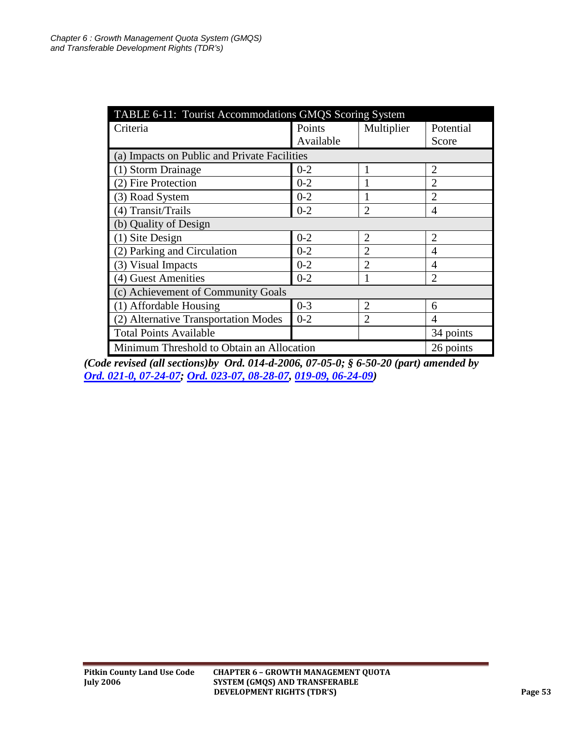| TABLE 6-11: Tourist Accommodations GMQS Scoring System |           |                |                |
|--------------------------------------------------------|-----------|----------------|----------------|
| Criteria                                               | Points    | Multiplier     | Potential      |
|                                                        | Available |                | Score          |
| (a) Impacts on Public and Private Facilities           |           |                |                |
| (1) Storm Drainage                                     | $0 - 2$   |                | $\overline{2}$ |
| (2) Fire Protection                                    | $0 - 2$   |                | $\overline{2}$ |
| (3) Road System                                        | $0 - 2$   |                | $\overline{2}$ |
| (4) Transit/Trails                                     | $0 - 2$   | $\overline{2}$ | 4              |
| (b) Quality of Design                                  |           |                |                |
| $(1)$ Site Design                                      | $0 - 2$   | $\overline{2}$ | $\overline{2}$ |
| (2) Parking and Circulation                            | $0 - 2$   | $\overline{2}$ | 4              |
| (3) Visual Impacts                                     | $0 - 2$   | $\overline{2}$ | 4              |
| (4) Guest Amenities                                    | $0 - 2$   |                | $\overline{2}$ |
| (c) Achievement of Community Goals                     |           |                |                |
| (1) Affordable Housing                                 | $0 - 3$   | $\overline{2}$ | 6              |
| (2) Alternative Transportation Modes                   | $0 - 2$   | $\overline{2}$ | 4              |
| <b>Total Points Available</b>                          |           |                | 34 points      |
| Minimum Threshold to Obtain an Allocation<br>26 points |           |                |                |

*(Code revised (all sections)by Ord. 014-d-2006, 07-05-0; § 6-50-20 (part) amended by [Ord. 021-0, 07-24-07;](http://pitkincounty.com/DocumentCenter/View/8248) [Ord. 023-07, 08-28-07,](http://pitkincounty.com/DocumentCenter/View/8249) [019-09, 06-24-09\)](http://pitkincounty.com/DocumentCenter/View/8261)*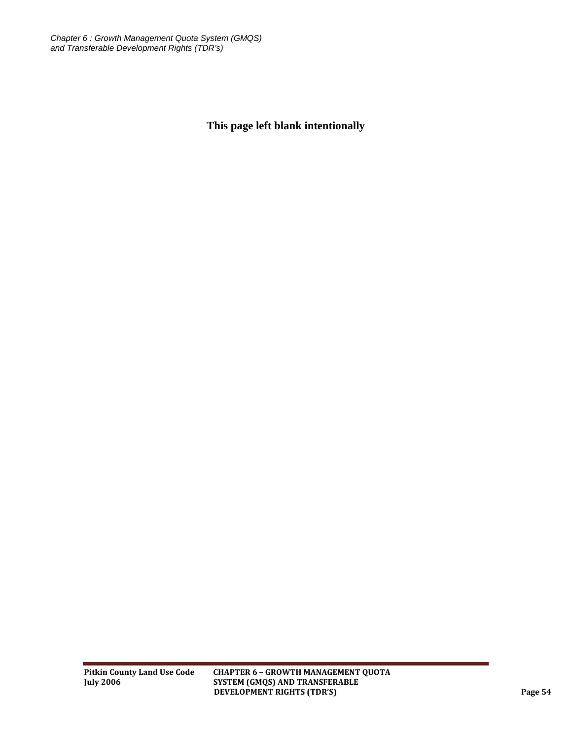**This page left blank intentionally**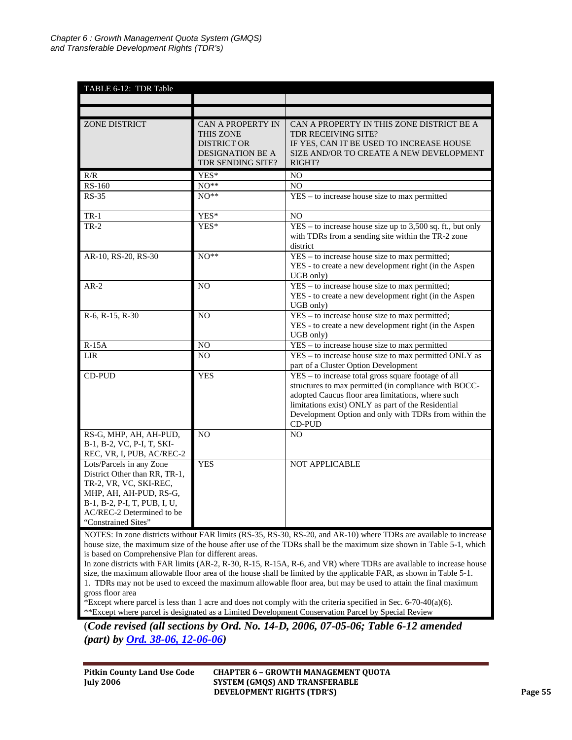| TABLE 6-12: TDR Table                                                                                                                                                                             |                                                                                                                    |                                                                                                                                                                                                                                                                                            |
|---------------------------------------------------------------------------------------------------------------------------------------------------------------------------------------------------|--------------------------------------------------------------------------------------------------------------------|--------------------------------------------------------------------------------------------------------------------------------------------------------------------------------------------------------------------------------------------------------------------------------------------|
|                                                                                                                                                                                                   |                                                                                                                    |                                                                                                                                                                                                                                                                                            |
|                                                                                                                                                                                                   |                                                                                                                    |                                                                                                                                                                                                                                                                                            |
| ZONE DISTRICT                                                                                                                                                                                     | <b>CAN A PROPERTY IN</b><br><b>THIS ZONE</b><br><b>DISTRICT OR</b><br><b>DESIGNATION BE A</b><br>TDR SENDING SITE? | CAN A PROPERTY IN THIS ZONE DISTRICT BE A<br>TDR RECEIVING SITE?<br>IF YES, CAN IT BE USED TO INCREASE HOUSE<br>SIZE AND/OR TO CREATE A NEW DEVELOPMENT<br>RIGHT?                                                                                                                          |
| R/R                                                                                                                                                                                               | YES*                                                                                                               | N <sub>O</sub>                                                                                                                                                                                                                                                                             |
| $\overline{\text{RS}}$ -160                                                                                                                                                                       | $NO**$                                                                                                             | N <sub>O</sub>                                                                                                                                                                                                                                                                             |
| <b>RS-35</b>                                                                                                                                                                                      | $NO**$                                                                                                             | YES - to increase house size to max permitted                                                                                                                                                                                                                                              |
| $TR-1$                                                                                                                                                                                            | YES*                                                                                                               | N <sub>O</sub>                                                                                                                                                                                                                                                                             |
| $TR-2$                                                                                                                                                                                            | YES*                                                                                                               | $YES - to increase house size up to 3,500 sq. ft., but only$<br>with TDRs from a sending site within the TR-2 zone<br>district                                                                                                                                                             |
| AR-10, RS-20, RS-30                                                                                                                                                                               | $\overline{NO^{**}}$                                                                                               | YES - to increase house size to max permitted;<br>YES - to create a new development right (in the Aspen<br>UGB only)                                                                                                                                                                       |
| $AR-2$                                                                                                                                                                                            | N <sub>O</sub>                                                                                                     | YES - to increase house size to max permitted;<br>YES - to create a new development right (in the Aspen<br>UGB only)                                                                                                                                                                       |
| R-6, R-15, R-30                                                                                                                                                                                   | N <sub>O</sub>                                                                                                     | YES - to increase house size to max permitted;<br>YES - to create a new development right (in the Aspen<br>UGB only)                                                                                                                                                                       |
| $R-15A$                                                                                                                                                                                           | NO                                                                                                                 | YES - to increase house size to max permitted                                                                                                                                                                                                                                              |
| <b>LIR</b>                                                                                                                                                                                        | NO                                                                                                                 | YES - to increase house size to max permitted ONLY as<br>part of a Cluster Option Development                                                                                                                                                                                              |
| CD-PUD                                                                                                                                                                                            | <b>YES</b>                                                                                                         | YES - to increase total gross square footage of all<br>structures to max permitted (in compliance with BOCC-<br>adopted Caucus floor area limitations, where such<br>limitations exist) ONLY as part of the Residential<br>Development Option and only with TDRs from within the<br>CD-PUD |
| RS-G, MHP, AH, AH-PUD,<br>B-1, B-2, VC, P-I, T, SKI-<br>REC, VR, I, PUB, AC/REC-2                                                                                                                 | N <sub>O</sub>                                                                                                     | N <sub>O</sub>                                                                                                                                                                                                                                                                             |
| Lots/Parcels in any Zone<br>District Other than RR, TR-1,<br>TR-2, VR, VC, SKI-REC,<br>MHP, AH, AH-PUD, RS-G,<br>B-1, B-2, P-I, T, PUB, I, U,<br>AC/REC-2 Determined to be<br>"Constrained Sites" | <b>YES</b>                                                                                                         | NOT APPLICABLE                                                                                                                                                                                                                                                                             |

NOTES: In zone districts without FAR limits (RS-35, RS-30, RS-20, and AR-10) where TDRs are available to increase house size, the maximum size of the house after use of the TDRs shall be the maximum size shown in Table 5-1, which is based on Comprehensive Plan for different areas.

In zone districts with FAR limits (AR-2, R-30, R-15, R-15A, R-6, and VR) where TDRs are available to increase house size, the maximum allowable floor area of the house shall be limited by the applicable FAR, as shown in Table 5-1.

1. TDRs may not be used to exceed the maximum allowable floor area, but may be used to attain the final maximum gross floor area

\*Except where parcel is less than 1 acre and does not comply with the criteria specified in Sec. 6-70-40(a)(6). \*\*Except where parcel is designated as a Limited Development Conservation Parcel by Special Review

(*Code revised (all sections by Ord. No. 14-D, 2006, 07-05-06; Table 6-12 amended (part) by [Ord. 38-06, 12-06-06\)](http://pitkincounty.com/DocumentCenter/View/8288)*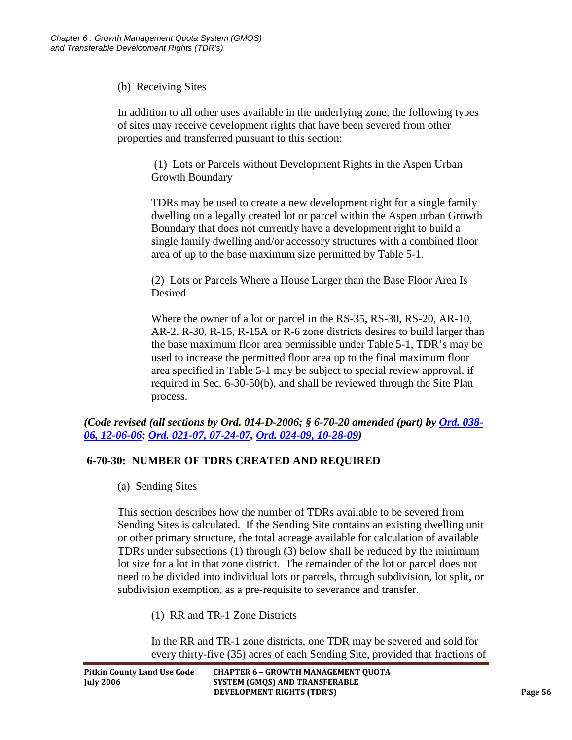#### (b) Receiving Sites

In addition to all other uses available in the underlying zone, the following types of sites may receive development rights that have been severed from other properties and transferred pursuant to this section:

(1) Lots or Parcels without Development Rights in the Aspen Urban Growth Boundary

TDRs may be used to create a new development right for a single family dwelling on a legally created lot or parcel within the Aspen urban Growth Boundary that does not currently have a development right to build a single family dwelling and/or accessory structures with a combined floor area of up to the base maximum size permitted by Table 5-1.

(2) Lots or Parcels Where a House Larger than the Base Floor Area Is Desired

Where the owner of a lot or parcel in the RS-35, RS-30, RS-20, AR-10, AR-2, R-30, R-15, R-15A or R-6 zone districts desires to build larger than the base maximum floor area permissible under Table 5-1, TDR's may be used to increase the permitted floor area up to the final maximum floor area specified in Table 5-1 may be subject to special review approval, if required in Sec. 6-30-50(b), and shall be reviewed through the Site Plan process.

*(Code revised (all sections by Ord. 014-D-2006; § 6-70-20 amended (part) by [Ord. 038-](http://pitkincounty.com/DocumentCenter/View/8288) [06, 12-06-06;](http://pitkincounty.com/DocumentCenter/View/8288) [Ord. 021-07, 07-24-07,](http://pitkincounty.com/DocumentCenter/View/8248) [Ord. 024-09, 10-28-09\)](http://pitkincounty.com/DocumentCenter/View/8259)*

## <span id="page-55-0"></span>**6-70-30: NUMBER OF TDRS CREATED AND REQUIRED**

(a) Sending Sites

This section describes how the number of TDRs available to be severed from Sending Sites is calculated. If the Sending Site contains an existing dwelling unit or other primary structure, the total acreage available for calculation of available TDRs under subsections (1) through (3) below shall be reduced by the minimum lot size for a lot in that zone district. The remainder of the lot or parcel does not need to be divided into individual lots or parcels, through subdivision, lot split, or subdivision exemption, as a pre-requisite to severance and transfer.

(1) RR and TR-1 Zone Districts

In the RR and TR-1 zone districts, one TDR may be severed and sold for every thirty-five (35) acres of each Sending Site, provided that fractions of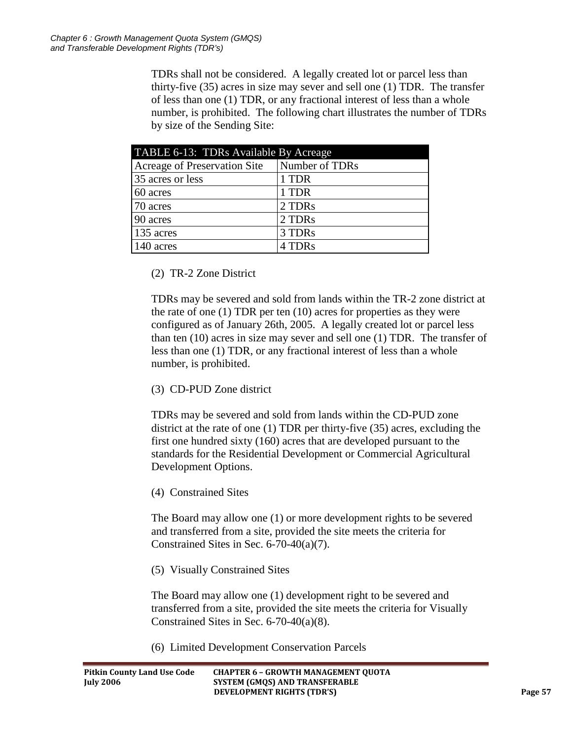TDRs shall not be considered. A legally created lot or parcel less than thirty-five (35) acres in size may sever and sell one (1) TDR. The transfer of less than one (1) TDR, or any fractional interest of less than a whole number, is prohibited. The following chart illustrates the number of TDRs by size of the Sending Site:

| TABLE 6-13: TDRs Available By Acreage |                |  |
|---------------------------------------|----------------|--|
| Acreage of Preservation Site          | Number of TDRs |  |
| 35 acres or less                      | 1 TDR          |  |
| 60 acres                              | 1 TDR          |  |
| 70 acres                              | 2 TDRs         |  |
| 90 acres                              | 2 TDRs         |  |
| 135 acres                             | 3 TDRs         |  |
| 140 acres                             | 4 TDRs         |  |

#### (2) TR-2 Zone District

TDRs may be severed and sold from lands within the TR-2 zone district at the rate of one (1) TDR per ten (10) acres for properties as they were configured as of January 26th, 2005. A legally created lot or parcel less than ten (10) acres in size may sever and sell one (1) TDR. The transfer of less than one (1) TDR, or any fractional interest of less than a whole number, is prohibited.

#### (3) CD-PUD Zone district

TDRs may be severed and sold from lands within the CD-PUD zone district at the rate of one (1) TDR per thirty-five (35) acres, excluding the first one hundred sixty (160) acres that are developed pursuant to the standards for the Residential Development or Commercial Agricultural Development Options.

(4) Constrained Sites

The Board may allow one (1) or more development rights to be severed and transferred from a site, provided the site meets the criteria for Constrained Sites in Sec. 6-70-40(a)(7).

(5) Visually Constrained Sites

The Board may allow one (1) development right to be severed and transferred from a site, provided the site meets the criteria for Visually Constrained Sites in Sec. 6-70-40(a)(8).

(6) Limited Development Conservation Parcels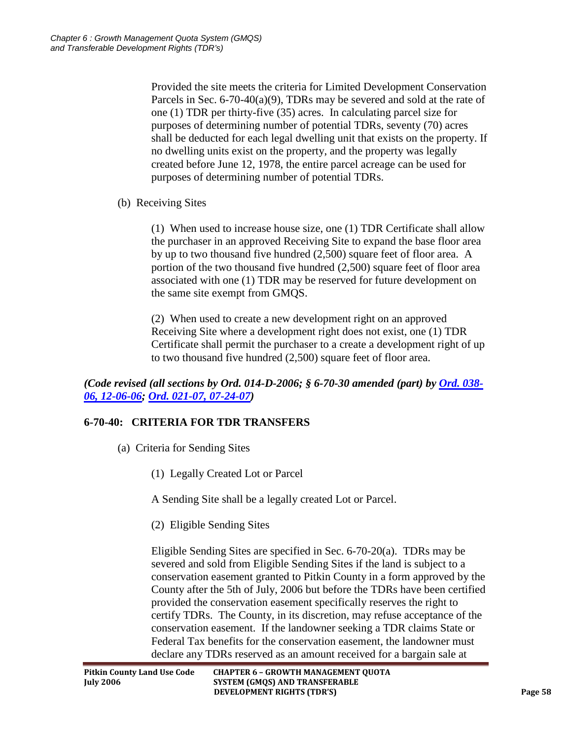Provided the site meets the criteria for Limited Development Conservation Parcels in Sec. 6-70-40(a)(9), TDRs may be severed and sold at the rate of one (1) TDR per thirty-five (35) acres. In calculating parcel size for purposes of determining number of potential TDRs, seventy (70) acres shall be deducted for each legal dwelling unit that exists on the property. If no dwelling units exist on the property, and the property was legally created before June 12, 1978, the entire parcel acreage can be used for purposes of determining number of potential TDRs.

(b) Receiving Sites

(1) When used to increase house size, one (1) TDR Certificate shall allow the purchaser in an approved Receiving Site to expand the base floor area by up to two thousand five hundred (2,500) square feet of floor area. A portion of the two thousand five hundred (2,500) square feet of floor area associated with one (1) TDR may be reserved for future development on the same site exempt from GMQS.

(2) When used to create a new development right on an approved Receiving Site where a development right does not exist, one (1) TDR Certificate shall permit the purchaser to a create a development right of up to two thousand five hundred (2,500) square feet of floor area.

## *(Code revised (all sections by Ord. 014-D-2006; § 6-70-30 amended (part) by [Ord. 038-](http://pitkincounty.com/DocumentCenter/View/8288) [06, 12-06-06;](http://pitkincounty.com/DocumentCenter/View/8288) [Ord. 021-07, 07-24-07\)](http://pitkincounty.com/DocumentCenter/View/8248)*

# <span id="page-57-0"></span>**6-70-40: CRITERIA FOR TDR TRANSFERS**

- (a) Criteria for Sending Sites
	- (1) Legally Created Lot or Parcel

A Sending Site shall be a legally created Lot or Parcel.

(2) Eligible Sending Sites

Eligible Sending Sites are specified in Sec. 6-70-20(a). TDRs may be severed and sold from Eligible Sending Sites if the land is subject to a conservation easement granted to Pitkin County in a form approved by the County after the 5th of July, 2006 but before the TDRs have been certified provided the conservation easement specifically reserves the right to certify TDRs. The County, in its discretion, may refuse acceptance of the conservation easement. If the landowner seeking a TDR claims State or Federal Tax benefits for the conservation easement, the landowner must declare any TDRs reserved as an amount received for a bargain sale at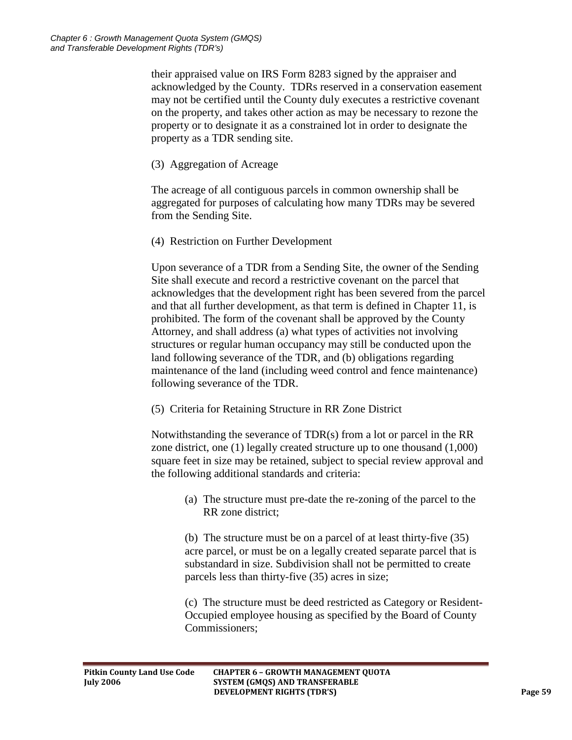their appraised value on IRS Form 8283 signed by the appraiser and acknowledged by the County. TDRs reserved in a conservation easement may not be certified until the County duly executes a restrictive covenant on the property, and takes other action as may be necessary to rezone the property or to designate it as a constrained lot in order to designate the property as a TDR sending site.

(3) Aggregation of Acreage

The acreage of all contiguous parcels in common ownership shall be aggregated for purposes of calculating how many TDRs may be severed from the Sending Site.

(4) Restriction on Further Development

Upon severance of a TDR from a Sending Site, the owner of the Sending Site shall execute and record a restrictive covenant on the parcel that acknowledges that the development right has been severed from the parcel and that all further development, as that term is defined in Chapter 11, is prohibited. The form of the covenant shall be approved by the County Attorney, and shall address (a) what types of activities not involving structures or regular human occupancy may still be conducted upon the land following severance of the TDR, and (b) obligations regarding maintenance of the land (including weed control and fence maintenance) following severance of the TDR.

(5) Criteria for Retaining Structure in RR Zone District

Notwithstanding the severance of TDR(s) from a lot or parcel in the RR zone district, one (1) legally created structure up to one thousand (1,000) square feet in size may be retained, subject to special review approval and the following additional standards and criteria:

(a) The structure must pre-date the re-zoning of the parcel to the RR zone district;

(b) The structure must be on a parcel of at least thirty-five (35) acre parcel, or must be on a legally created separate parcel that is substandard in size. Subdivision shall not be permitted to create parcels less than thirty-five (35) acres in size;

(c) The structure must be deed restricted as Category or Resident-Occupied employee housing as specified by the Board of County Commissioners;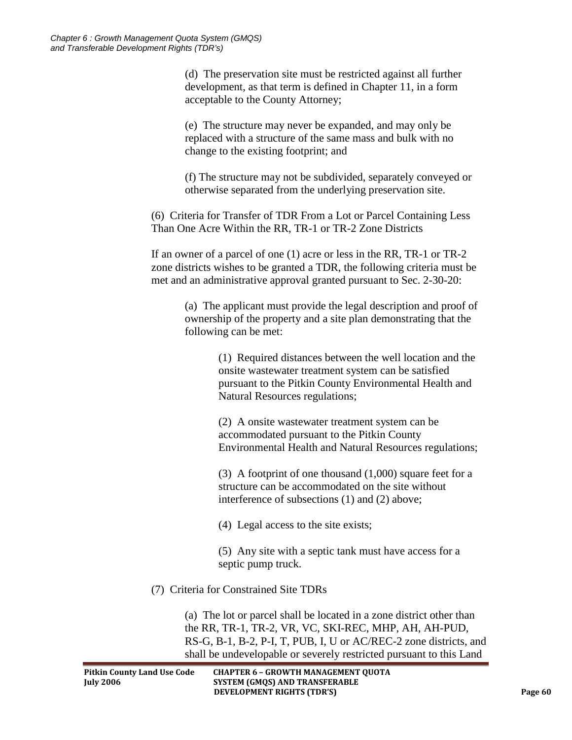(d) The preservation site must be restricted against all further development, as that term is defined in Chapter 11, in a form acceptable to the County Attorney;

(e) The structure may never be expanded, and may only be replaced with a structure of the same mass and bulk with no change to the existing footprint; and

(f) The structure may not be subdivided, separately conveyed or otherwise separated from the underlying preservation site.

(6) Criteria for Transfer of TDR From a Lot or Parcel Containing Less Than One Acre Within the RR, TR-1 or TR-2 Zone Districts

If an owner of a parcel of one (1) acre or less in the RR, TR-1 or TR-2 zone districts wishes to be granted a TDR, the following criteria must be met and an administrative approval granted pursuant to Sec. 2-30-20:

> (a) The applicant must provide the legal description and proof of ownership of the property and a site plan demonstrating that the following can be met:

> > (1) Required distances between the well location and the onsite wastewater treatment system can be satisfied pursuant to the Pitkin County Environmental Health and Natural Resources regulations;

> > (2) A onsite wastewater treatment system can be accommodated pursuant to the Pitkin County Environmental Health and Natural Resources regulations;

(3) A footprint of one thousand (1,000) square feet for a structure can be accommodated on the site without interference of subsections (1) and (2) above;

(4) Legal access to the site exists;

(5) Any site with a septic tank must have access for a septic pump truck.

(7) Criteria for Constrained Site TDRs

(a) The lot or parcel shall be located in a zone district other than the RR, TR-1, TR-2, VR, VC, SKI-REC, MHP, AH, AH-PUD, RS-G, B-1, B-2, P-I, T, PUB, I, U or AC/REC-2 zone districts, and shall be undevelopable or severely restricted pursuant to this Land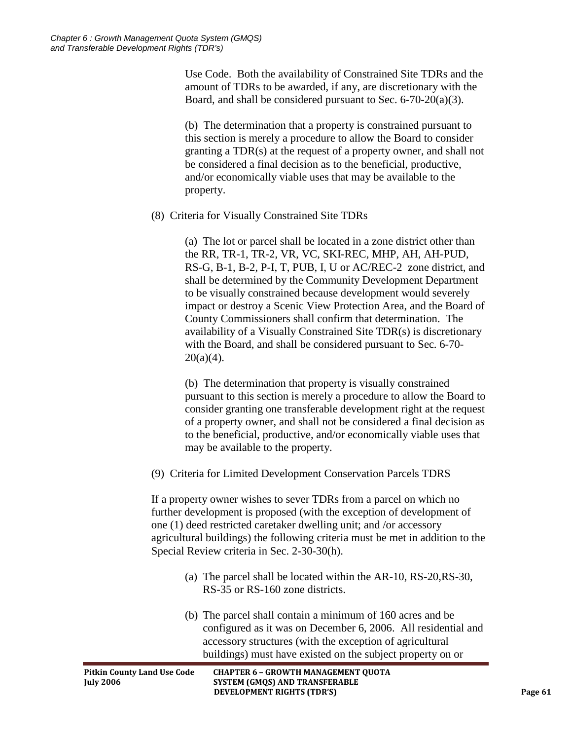Use Code. Both the availability of Constrained Site TDRs and the amount of TDRs to be awarded, if any, are discretionary with the Board, and shall be considered pursuant to Sec. 6-70-20(a)(3).

(b) The determination that a property is constrained pursuant to this section is merely a procedure to allow the Board to consider granting a TDR(s) at the request of a property owner, and shall not be considered a final decision as to the beneficial, productive, and/or economically viable uses that may be available to the property.

(8) Criteria for Visually Constrained Site TDRs

(a) The lot or parcel shall be located in a zone district other than the RR, TR-1, TR-2, VR, VC, SKI-REC, MHP, AH, AH-PUD, RS-G, B-1, B-2, P-I, T, PUB, I, U or AC/REC-2 zone district, and shall be determined by the Community Development Department to be visually constrained because development would severely impact or destroy a Scenic View Protection Area, and the Board of County Commissioners shall confirm that determination. The availability of a Visually Constrained Site TDR(s) is discretionary with the Board, and shall be considered pursuant to Sec. 6-70-  $20(a)(4)$ .

(b) The determination that property is visually constrained pursuant to this section is merely a procedure to allow the Board to consider granting one transferable development right at the request of a property owner, and shall not be considered a final decision as to the beneficial, productive, and/or economically viable uses that may be available to the property.

(9) Criteria for Limited Development Conservation Parcels TDRS

If a property owner wishes to sever TDRs from a parcel on which no further development is proposed (with the exception of development of one (1) deed restricted caretaker dwelling unit; and /or accessory agricultural buildings) the following criteria must be met in addition to the Special Review criteria in Sec. 2-30-30(h).

- (a) The parcel shall be located within the AR-10, RS-20,RS-30, RS-35 or RS-160 zone districts.
- (b) The parcel shall contain a minimum of 160 acres and be configured as it was on December 6, 2006. All residential and accessory structures (with the exception of agricultural buildings) must have existed on the subject property on or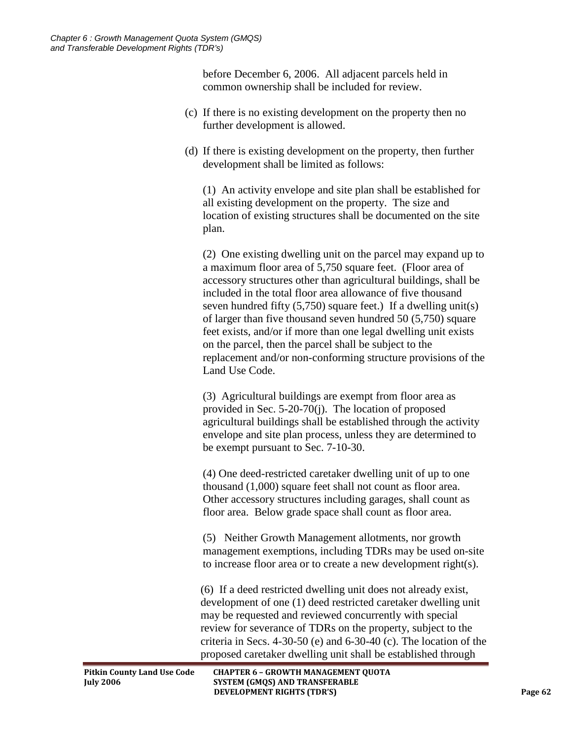before December 6, 2006. All adjacent parcels held in common ownership shall be included for review.

- (c) If there is no existing development on the property then no further development is allowed.
- (d) If there is existing development on the property, then further development shall be limited as follows:

(1) An activity envelope and site plan shall be established for all existing development on the property. The size and location of existing structures shall be documented on the site plan.

(2) One existing dwelling unit on the parcel may expand up to a maximum floor area of 5,750 square feet. (Floor area of accessory structures other than agricultural buildings, shall be included in the total floor area allowance of five thousand seven hundred fifty (5,750) square feet.) If a dwelling unit(s) of larger than five thousand seven hundred 50 (5,750) square feet exists, and/or if more than one legal dwelling unit exists on the parcel, then the parcel shall be subject to the replacement and/or non-conforming structure provisions of the Land Use Code.

(3) Agricultural buildings are exempt from floor area as provided in Sec. 5-20-70(j). The location of proposed agricultural buildings shall be established through the activity envelope and site plan process, unless they are determined to be exempt pursuant to Sec. 7-10-30.

(4) One deed-restricted caretaker dwelling unit of up to one thousand (1,000) square feet shall not count as floor area. Other accessory structures including garages, shall count as floor area. Below grade space shall count as floor area.

(5) Neither Growth Management allotments, nor growth management exemptions, including TDRs may be used on-site to increase floor area or to create a new development right(s).

(6) If a deed restricted dwelling unit does not already exist, development of one (1) deed restricted caretaker dwelling unit may be requested and reviewed concurrently with special review for severance of TDRs on the property, subject to the criteria in Secs. 4-30-50 (e) and 6-30-40 (c). The location of the proposed caretaker dwelling unit shall be established through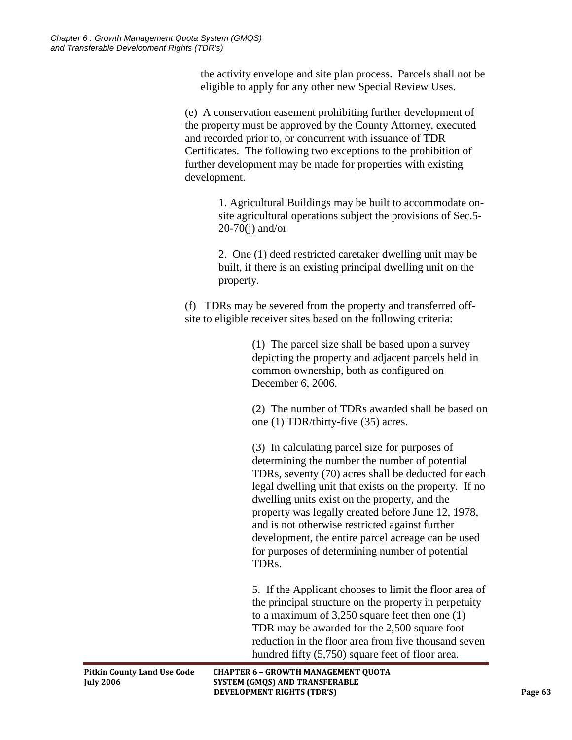the activity envelope and site plan process. Parcels shall not be eligible to apply for any other new Special Review Uses.

(e) A conservation easement prohibiting further development of the property must be approved by the County Attorney, executed and recorded prior to, or concurrent with issuance of TDR Certificates. The following two exceptions to the prohibition of further development may be made for properties with existing development.

> 1. Agricultural Buildings may be built to accommodate onsite agricultural operations subject the provisions of Sec.5-  $20-70(i)$  and/or

2. One (1) deed restricted caretaker dwelling unit may be built, if there is an existing principal dwelling unit on the property.

(f) TDRs may be severed from the property and transferred offsite to eligible receiver sites based on the following criteria:

> (1) The parcel size shall be based upon a survey depicting the property and adjacent parcels held in common ownership, both as configured on December 6, 2006.

(2) The number of TDRs awarded shall be based on one (1) TDR/thirty-five (35) acres.

(3) In calculating parcel size for purposes of determining the number the number of potential TDRs, seventy (70) acres shall be deducted for each legal dwelling unit that exists on the property. If no dwelling units exist on the property, and the property was legally created before June 12, 1978, and is not otherwise restricted against further development, the entire parcel acreage can be used for purposes of determining number of potential TDRs.

5. If the Applicant chooses to limit the floor area of the principal structure on the property in perpetuity to a maximum of 3,250 square feet then one (1) TDR may be awarded for the 2,500 square foot reduction in the floor area from five thousand seven hundred fifty (5,750) square feet of floor area.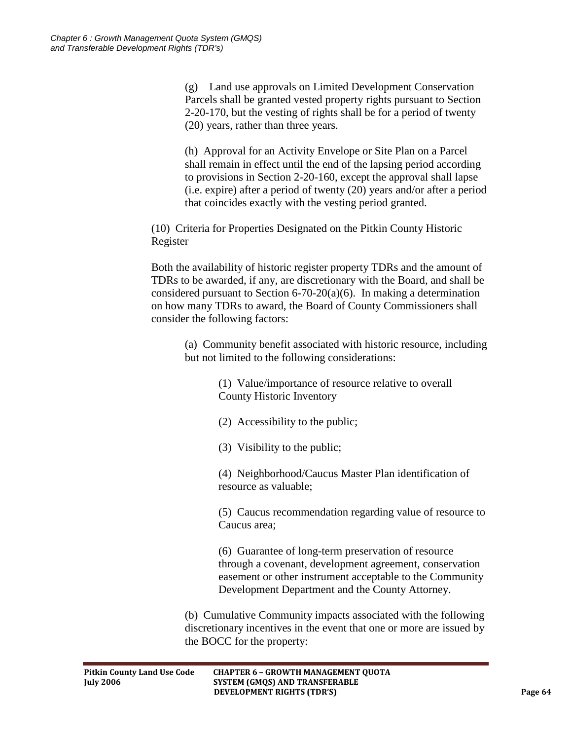(g) Land use approvals on Limited Development Conservation Parcels shall be granted vested property rights pursuant to Section 2-20-170, but the vesting of rights shall be for a period of twenty (20) years, rather than three years.

(h) Approval for an Activity Envelope or Site Plan on a Parcel shall remain in effect until the end of the lapsing period according to provisions in Section 2-20-160, except the approval shall lapse (i.e. expire) after a period of twenty (20) years and/or after a period that coincides exactly with the vesting period granted.

(10) Criteria for Properties Designated on the Pitkin County Historic Register

Both the availability of historic register property TDRs and the amount of TDRs to be awarded, if any, are discretionary with the Board, and shall be considered pursuant to Section 6-70-20(a)(6). In making a determination on how many TDRs to award, the Board of County Commissioners shall consider the following factors:

> (a) Community benefit associated with historic resource, including but not limited to the following considerations:

> > (1) Value/importance of resource relative to overall County Historic Inventory

(2) Accessibility to the public;

(3) Visibility to the public;

(4) Neighborhood/Caucus Master Plan identification of resource as valuable;

(5) Caucus recommendation regarding value of resource to Caucus area;

(6) Guarantee of long-term preservation of resource through a covenant, development agreement, conservation easement or other instrument acceptable to the Community Development Department and the County Attorney.

(b) Cumulative Community impacts associated with the following discretionary incentives in the event that one or more are issued by the BOCC for the property: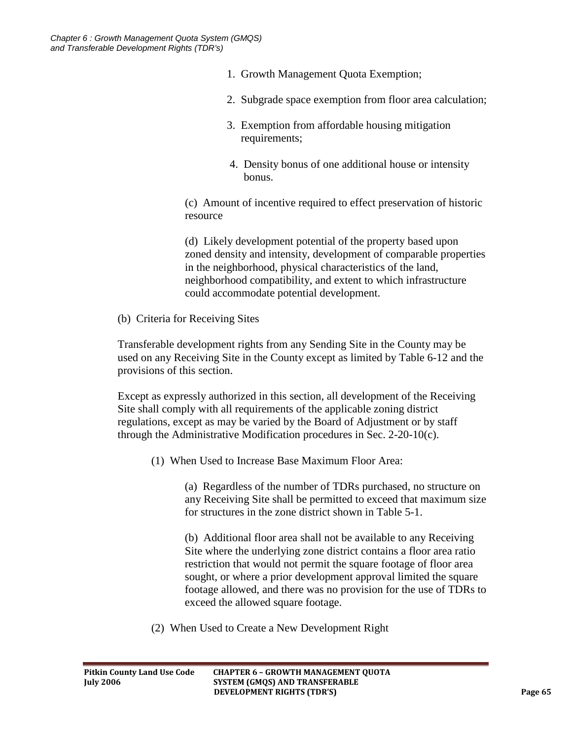- 1. Growth Management Quota Exemption;
- 2. Subgrade space exemption from floor area calculation;
- 3. Exemption from affordable housing mitigation requirements;
- 4. Density bonus of one additional house or intensity bonus.

(c) Amount of incentive required to effect preservation of historic resource

(d) Likely development potential of the property based upon zoned density and intensity, development of comparable properties in the neighborhood, physical characteristics of the land, neighborhood compatibility, and extent to which infrastructure could accommodate potential development.

(b) Criteria for Receiving Sites

Transferable development rights from any Sending Site in the County may be used on any Receiving Site in the County except as limited by Table 6-12 and the provisions of this section.

Except as expressly authorized in this section, all development of the Receiving Site shall comply with all requirements of the applicable zoning district regulations, except as may be varied by the Board of Adjustment or by staff through the Administrative Modification procedures in Sec. 2-20-10(c).

(1) When Used to Increase Base Maximum Floor Area:

(a) Regardless of the number of TDRs purchased, no structure on any Receiving Site shall be permitted to exceed that maximum size for structures in the zone district shown in Table 5-1.

(b) Additional floor area shall not be available to any Receiving Site where the underlying zone district contains a floor area ratio restriction that would not permit the square footage of floor area sought, or where a prior development approval limited the square footage allowed, and there was no provision for the use of TDRs to exceed the allowed square footage.

(2) When Used to Create a New Development Right